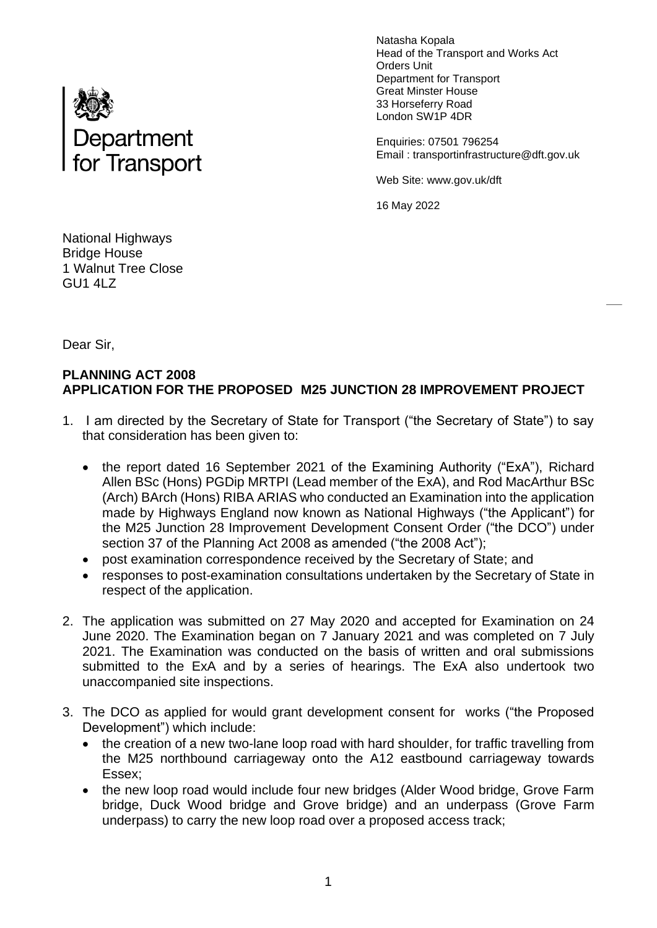

Natasha Kopala Head of the Transport and Works Act Orders Unit Department for Transport Great Minster House 33 Horseferry Road London SW1P 4DR

Enquiries: 07501 796254 Email : transportinfrastructure@dft.gov.uk

Web Site: www.gov.uk/dft

16 May 2022

National Highways Bridge House 1 Walnut Tree Close GU1 4LZ

Dear Sir,

## **PLANNING ACT 2008 APPLICATION FOR THE PROPOSED M25 JUNCTION 28 IMPROVEMENT PROJECT**

- 1. I am directed by the Secretary of State for Transport ("the Secretary of State") to say that consideration has been given to:
	- the report dated 16 September 2021 of the Examining Authority ("ExA"), Richard Allen BSc (Hons) PGDip MRTPI (Lead member of the ExA), and Rod MacArthur BSc (Arch) BArch (Hons) RIBA ARIAS who conducted an Examination into the application made by Highways England now known as National Highways ("the Applicant") for the M25 Junction 28 Improvement Development Consent Order ("the DCO") under section 37 of the Planning Act 2008 as amended ("the 2008 Act");
	- post examination correspondence received by the Secretary of State; and
	- responses to post-examination consultations undertaken by the Secretary of State in respect of the application.
- 2. The application was submitted on 27 May 2020 and accepted for Examination on 24 June 2020. The Examination began on 7 January 2021 and was completed on 7 July 2021. The Examination was conducted on the basis of written and oral submissions submitted to the ExA and by a series of hearings. The ExA also undertook two unaccompanied site inspections.
- 3. The DCO as applied for would grant development consent for works ("the Proposed Development") which include:
	- the creation of a new two-lane loop road with hard shoulder, for traffic travelling from the M25 northbound carriageway onto the A12 eastbound carriageway towards Essex;
	- the new loop road would include four new bridges (Alder Wood bridge, Grove Farm bridge, Duck Wood bridge and Grove bridge) and an underpass (Grove Farm underpass) to carry the new loop road over a proposed access track;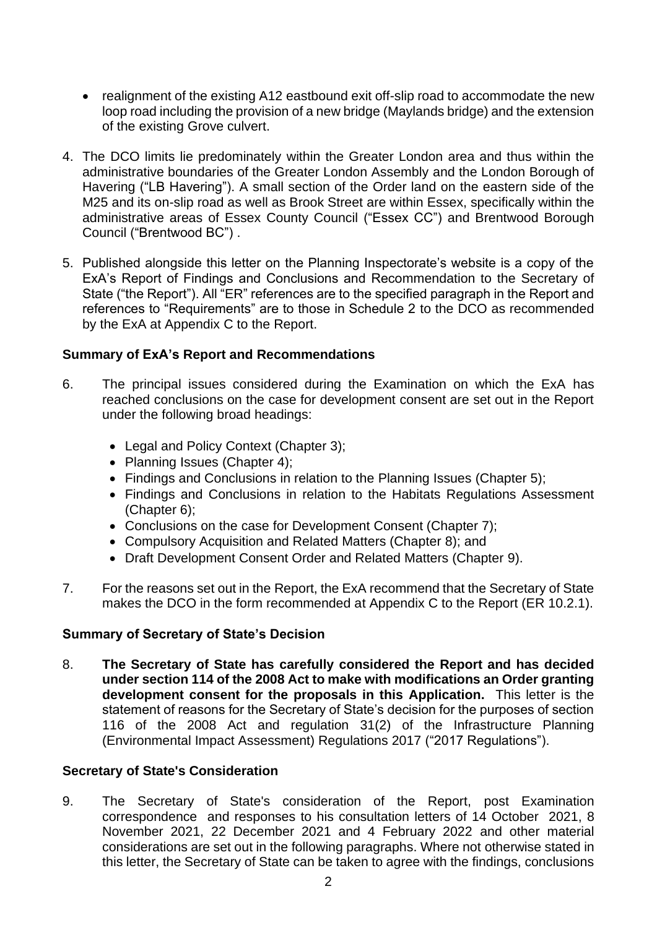- realignment of the existing A12 eastbound exit off-slip road to accommodate the new loop road including the provision of a new bridge (Maylands bridge) and the extension of the existing Grove culvert.
- 4. The DCO limits lie predominately within the Greater London area and thus within the administrative boundaries of the Greater London Assembly and the London Borough of Havering ("LB Havering"). A small section of the Order land on the eastern side of the M25 and its on-slip road as well as Brook Street are within Essex, specifically within the administrative areas of Essex County Council ("Essex CC") and Brentwood Borough Council ("Brentwood BC") .
- 5. Published alongside this letter on the Planning Inspectorate's website is a copy of the ExA's Report of Findings and Conclusions and Recommendation to the Secretary of State ("the Report"). All "ER" references are to the specified paragraph in the Report and references to "Requirements" are to those in Schedule 2 to the DCO as recommended by the ExA at Appendix C to the Report.

## **Summary of ExA's Report and Recommendations**

- 6. The principal issues considered during the Examination on which the ExA has reached conclusions on the case for development consent are set out in the Report under the following broad headings:
	- Legal and Policy Context (Chapter 3);
	- Planning Issues (Chapter 4);
	- Findings and Conclusions in relation to the Planning Issues (Chapter 5);
	- Findings and Conclusions in relation to the Habitats Regulations Assessment (Chapter 6);
	- Conclusions on the case for Development Consent (Chapter 7);
	- Compulsory Acquisition and Related Matters (Chapter 8); and
	- Draft Development Consent Order and Related Matters (Chapter 9).
- 7. For the reasons set out in the Report, the ExA recommend that the Secretary of State makes the DCO in the form recommended at Appendix C to the Report (ER 10.2.1).

### **Summary of Secretary of State's Decision**

8. **The Secretary of State has carefully considered the Report and has decided under section 114 of the 2008 Act to make with modifications an Order granting development consent for the proposals in this Application.** This letter is the statement of reasons for the Secretary of State's decision for the purposes of section 116 of the 2008 Act and regulation 31(2) of the Infrastructure Planning (Environmental Impact Assessment) Regulations 2017 ("2017 Regulations").

#### **Secretary of State's Consideration**

9. The Secretary of State's consideration of the Report, post Examination correspondence and responses to his consultation letters of 14 October 2021, 8 November 2021, 22 December 2021 and 4 February 2022 and other material considerations are set out in the following paragraphs. Where not otherwise stated in this letter, the Secretary of State can be taken to agree with the findings, conclusions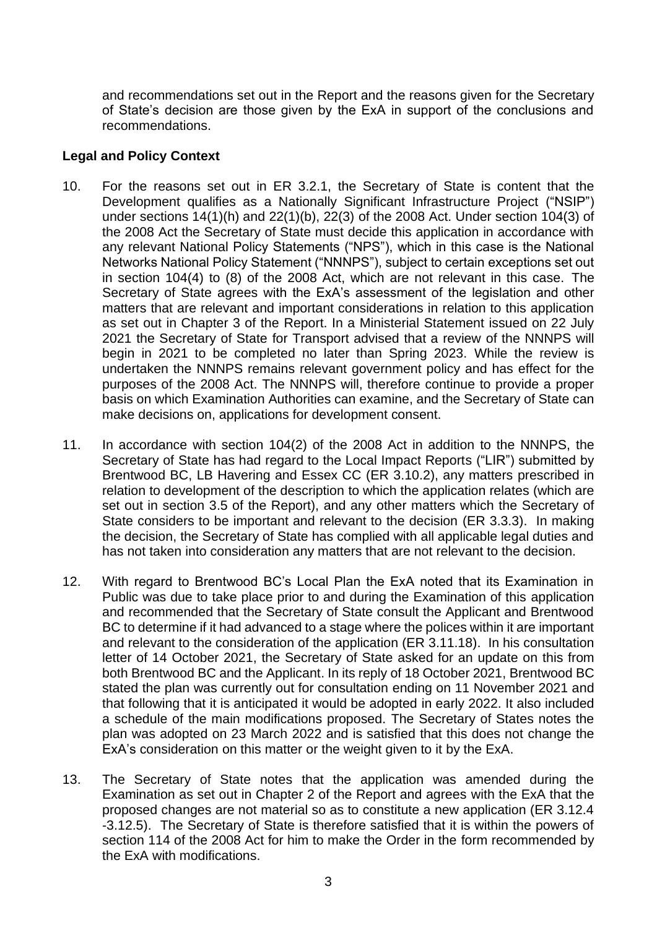and recommendations set out in the Report and the reasons given for the Secretary of State's decision are those given by the ExA in support of the conclusions and recommendations.

### **Legal and Policy Context**

- 10. For the reasons set out in ER 3.2.1, the Secretary of State is content that the Development qualifies as a Nationally Significant Infrastructure Project ("NSIP") under sections 14(1)(h) and 22(1)(b), 22(3) of the 2008 Act. Under section 104(3) of the 2008 Act the Secretary of State must decide this application in accordance with any relevant National Policy Statements ("NPS"), which in this case is the National Networks National Policy Statement ("NNNPS"), subject to certain exceptions set out in section 104(4) to (8) of the 2008 Act, which are not relevant in this case. The Secretary of State agrees with the ExA's assessment of the legislation and other matters that are relevant and important considerations in relation to this application as set out in Chapter 3 of the Report. In a Ministerial Statement issued on 22 July 2021 the Secretary of State for Transport advised that a review of the NNNPS will begin in 2021 to be completed no later than Spring 2023. While the review is undertaken the NNNPS remains relevant government policy and has effect for the purposes of the 2008 Act. The NNNPS will, therefore continue to provide a proper basis on which Examination Authorities can examine, and the Secretary of State can make decisions on, applications for development consent.
- 11. In accordance with section 104(2) of the 2008 Act in addition to the NNNPS, the Secretary of State has had regard to the Local Impact Reports ("LIR") submitted by Brentwood BC, LB Havering and Essex CC (ER 3.10.2), any matters prescribed in relation to development of the description to which the application relates (which are set out in section 3.5 of the Report), and any other matters which the Secretary of State considers to be important and relevant to the decision (ER 3.3.3). In making the decision, the Secretary of State has complied with all applicable legal duties and has not taken into consideration any matters that are not relevant to the decision.
- 12. With regard to Brentwood BC's Local Plan the ExA noted that its Examination in Public was due to take place prior to and during the Examination of this application and recommended that the Secretary of State consult the Applicant and Brentwood BC to determine if it had advanced to a stage where the polices within it are important and relevant to the consideration of the application (ER 3.11.18). In his consultation letter of 14 October 2021, the Secretary of State asked for an update on this from both Brentwood BC and the Applicant. In its reply of 18 October 2021, Brentwood BC stated the plan was currently out for consultation ending on 11 November 2021 and that following that it is anticipated it would be adopted in early 2022. It also included a schedule of the main modifications proposed. The Secretary of States notes the plan was adopted on 23 March 2022 and is satisfied that this does not change the ExA's consideration on this matter or the weight given to it by the ExA.
- 13. The Secretary of State notes that the application was amended during the Examination as set out in Chapter 2 of the Report and agrees with the ExA that the proposed changes are not material so as to constitute a new application (ER 3.12.4 -3.12.5). The Secretary of State is therefore satisfied that it is within the powers of section 114 of the 2008 Act for him to make the Order in the form recommended by the ExA with modifications.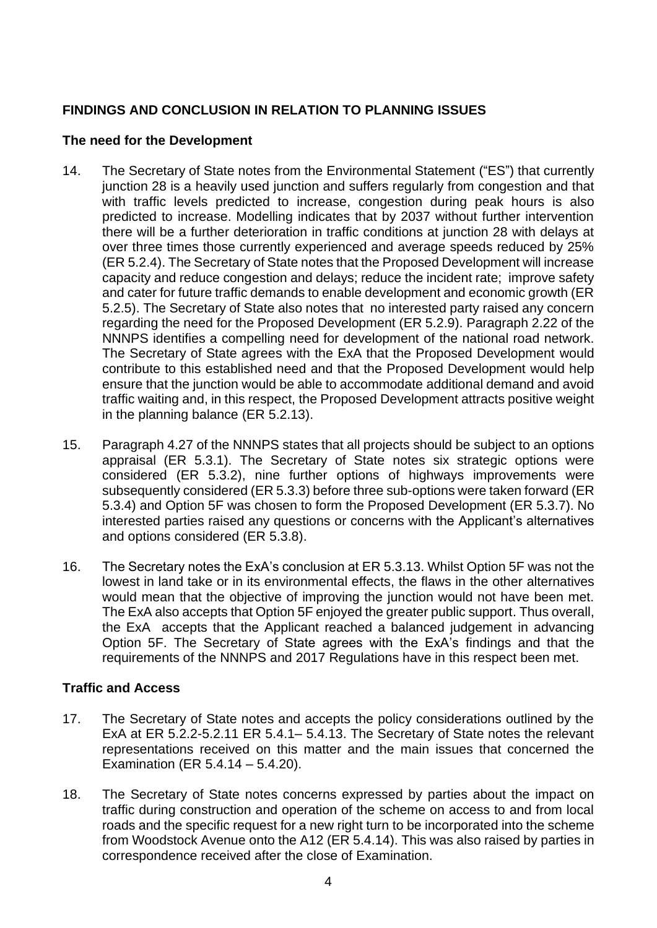# **FINDINGS AND CONCLUSION IN RELATION TO PLANNING ISSUES**

## **The need for the Development**

- 14. The Secretary of State notes from the Environmental Statement ("ES") that currently junction 28 is a heavily used junction and suffers regularly from congestion and that with traffic levels predicted to increase, congestion during peak hours is also predicted to increase. Modelling indicates that by 2037 without further intervention there will be a further deterioration in traffic conditions at junction 28 with delays at over three times those currently experienced and average speeds reduced by 25% (ER 5.2.4). The Secretary of State notes that the Proposed Development will increase capacity and reduce congestion and delays; reduce the incident rate; improve safety and cater for future traffic demands to enable development and economic growth (ER 5.2.5). The Secretary of State also notes that no interested party raised any concern regarding the need for the Proposed Development (ER 5.2.9). Paragraph 2.22 of the NNNPS identifies a compelling need for development of the national road network. The Secretary of State agrees with the ExA that the Proposed Development would contribute to this established need and that the Proposed Development would help ensure that the junction would be able to accommodate additional demand and avoid traffic waiting and, in this respect, the Proposed Development attracts positive weight in the planning balance (ER 5.2.13).
- 15. Paragraph 4.27 of the NNNPS states that all projects should be subject to an options appraisal (ER 5.3.1). The Secretary of State notes six strategic options were considered (ER 5.3.2), nine further options of highways improvements were subsequently considered (ER 5.3.3) before three sub-options were taken forward (ER 5.3.4) and Option 5F was chosen to form the Proposed Development (ER 5.3.7). No interested parties raised any questions or concerns with the Applicant's alternatives and options considered (ER 5.3.8).
- 16. The Secretary notes the ExA's conclusion at ER 5.3.13. Whilst Option 5F was not the lowest in land take or in its environmental effects, the flaws in the other alternatives would mean that the objective of improving the junction would not have been met. The ExA also accepts that Option 5F enjoyed the greater public support. Thus overall, the ExA accepts that the Applicant reached a balanced judgement in advancing Option 5F. The Secretary of State agrees with the ExA's findings and that the requirements of the NNNPS and 2017 Regulations have in this respect been met.

# **Traffic and Access**

- 17. The Secretary of State notes and accepts the policy considerations outlined by the ExA at ER 5.2.2-5.2.11 ER 5.4.1– 5.4.13. The Secretary of State notes the relevant representations received on this matter and the main issues that concerned the Examination (ER 5.4.14 – 5.4.20).
- 18. The Secretary of State notes concerns expressed by parties about the impact on traffic during construction and operation of the scheme on access to and from local roads and the specific request for a new right turn to be incorporated into the scheme from Woodstock Avenue onto the A12 (ER 5.4.14). This was also raised by parties in correspondence received after the close of Examination.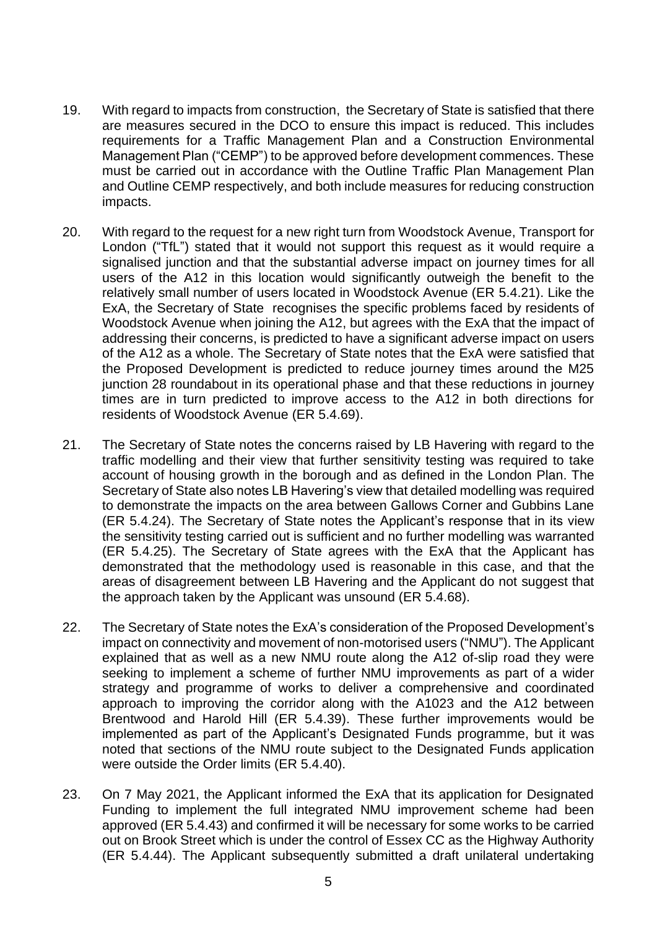- 19. With regard to impacts from construction, the Secretary of State is satisfied that there are measures secured in the DCO to ensure this impact is reduced. This includes requirements for a Traffic Management Plan and a Construction Environmental Management Plan ("CEMP") to be approved before development commences. These must be carried out in accordance with the Outline Traffic Plan Management Plan and Outline CEMP respectively, and both include measures for reducing construction impacts.
- 20. With regard to the request for a new right turn from Woodstock Avenue, Transport for London ("TfL") stated that it would not support this request as it would require a signalised junction and that the substantial adverse impact on journey times for all users of the A12 in this location would significantly outweigh the benefit to the relatively small number of users located in Woodstock Avenue (ER 5.4.21). Like the ExA, the Secretary of State recognises the specific problems faced by residents of Woodstock Avenue when joining the A12, but agrees with the ExA that the impact of addressing their concerns, is predicted to have a significant adverse impact on users of the A12 as a whole. The Secretary of State notes that the ExA were satisfied that the Proposed Development is predicted to reduce journey times around the M25 junction 28 roundabout in its operational phase and that these reductions in journey times are in turn predicted to improve access to the A12 in both directions for residents of Woodstock Avenue (ER 5.4.69).
- 21. The Secretary of State notes the concerns raised by LB Havering with regard to the traffic modelling and their view that further sensitivity testing was required to take account of housing growth in the borough and as defined in the London Plan. The Secretary of State also notes LB Havering's view that detailed modelling was required to demonstrate the impacts on the area between Gallows Corner and Gubbins Lane (ER 5.4.24). The Secretary of State notes the Applicant's response that in its view the sensitivity testing carried out is sufficient and no further modelling was warranted (ER 5.4.25). The Secretary of State agrees with the ExA that the Applicant has demonstrated that the methodology used is reasonable in this case, and that the areas of disagreement between LB Havering and the Applicant do not suggest that the approach taken by the Applicant was unsound (ER 5.4.68).
- 22. The Secretary of State notes the ExA's consideration of the Proposed Development's impact on connectivity and movement of non-motorised users ("NMU"). The Applicant explained that as well as a new NMU route along the A12 of-slip road they were seeking to implement a scheme of further NMU improvements as part of a wider strategy and programme of works to deliver a comprehensive and coordinated approach to improving the corridor along with the A1023 and the A12 between Brentwood and Harold Hill (ER 5.4.39). These further improvements would be implemented as part of the Applicant's Designated Funds programme, but it was noted that sections of the NMU route subject to the Designated Funds application were outside the Order limits (ER 5.4.40).
- 23. On 7 May 2021, the Applicant informed the ExA that its application for Designated Funding to implement the full integrated NMU improvement scheme had been approved (ER 5.4.43) and confirmed it will be necessary for some works to be carried out on Brook Street which is under the control of Essex CC as the Highway Authority (ER 5.4.44). The Applicant subsequently submitted a draft unilateral undertaking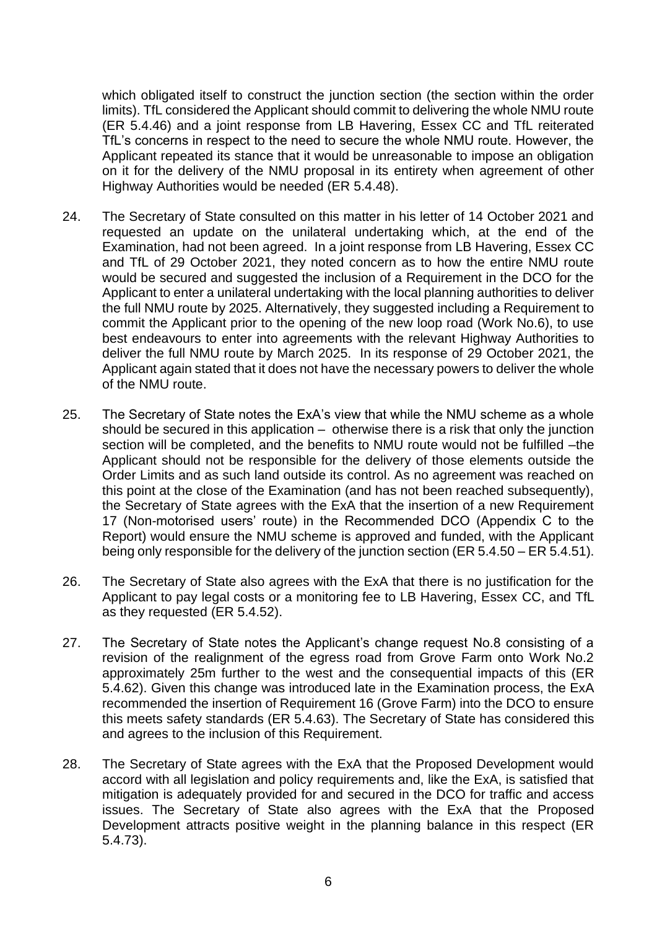which obligated itself to construct the junction section (the section within the order limits). TfL considered the Applicant should commit to delivering the whole NMU route (ER 5.4.46) and a joint response from LB Havering, Essex CC and TfL reiterated TfL's concerns in respect to the need to secure the whole NMU route. However, the Applicant repeated its stance that it would be unreasonable to impose an obligation on it for the delivery of the NMU proposal in its entirety when agreement of other Highway Authorities would be needed (ER 5.4.48).

- 24. The Secretary of State consulted on this matter in his letter of 14 October 2021 and requested an update on the unilateral undertaking which, at the end of the Examination, had not been agreed. In a joint response from LB Havering, Essex CC and TfL of 29 October 2021, they noted concern as to how the entire NMU route would be secured and suggested the inclusion of a Requirement in the DCO for the Applicant to enter a unilateral undertaking with the local planning authorities to deliver the full NMU route by 2025. Alternatively, they suggested including a Requirement to commit the Applicant prior to the opening of the new loop road (Work No.6), to use best endeavours to enter into agreements with the relevant Highway Authorities to deliver the full NMU route by March 2025. In its response of 29 October 2021, the Applicant again stated that it does not have the necessary powers to deliver the whole of the NMU route.
- 25. The Secretary of State notes the ExA's view that while the NMU scheme as a whole should be secured in this application – otherwise there is a risk that only the junction section will be completed, and the benefits to NMU route would not be fulfilled –the Applicant should not be responsible for the delivery of those elements outside the Order Limits and as such land outside its control. As no agreement was reached on this point at the close of the Examination (and has not been reached subsequently), the Secretary of State agrees with the ExA that the insertion of a new Requirement 17 (Non-motorised users' route) in the Recommended DCO (Appendix C to the Report) would ensure the NMU scheme is approved and funded, with the Applicant being only responsible for the delivery of the junction section (ER 5.4.50 – ER 5.4.51).
- 26. The Secretary of State also agrees with the ExA that there is no justification for the Applicant to pay legal costs or a monitoring fee to LB Havering, Essex CC, and TfL as they requested (ER 5.4.52).
- 27. The Secretary of State notes the Applicant's change request No.8 consisting of a revision of the realignment of the egress road from Grove Farm onto Work No.2 approximately 25m further to the west and the consequential impacts of this (ER 5.4.62). Given this change was introduced late in the Examination process, the ExA recommended the insertion of Requirement 16 (Grove Farm) into the DCO to ensure this meets safety standards (ER 5.4.63). The Secretary of State has considered this and agrees to the inclusion of this Requirement.
- 28. The Secretary of State agrees with the ExA that the Proposed Development would accord with all legislation and policy requirements and, like the ExA, is satisfied that mitigation is adequately provided for and secured in the DCO for traffic and access issues. The Secretary of State also agrees with the ExA that the Proposed Development attracts positive weight in the planning balance in this respect (ER 5.4.73).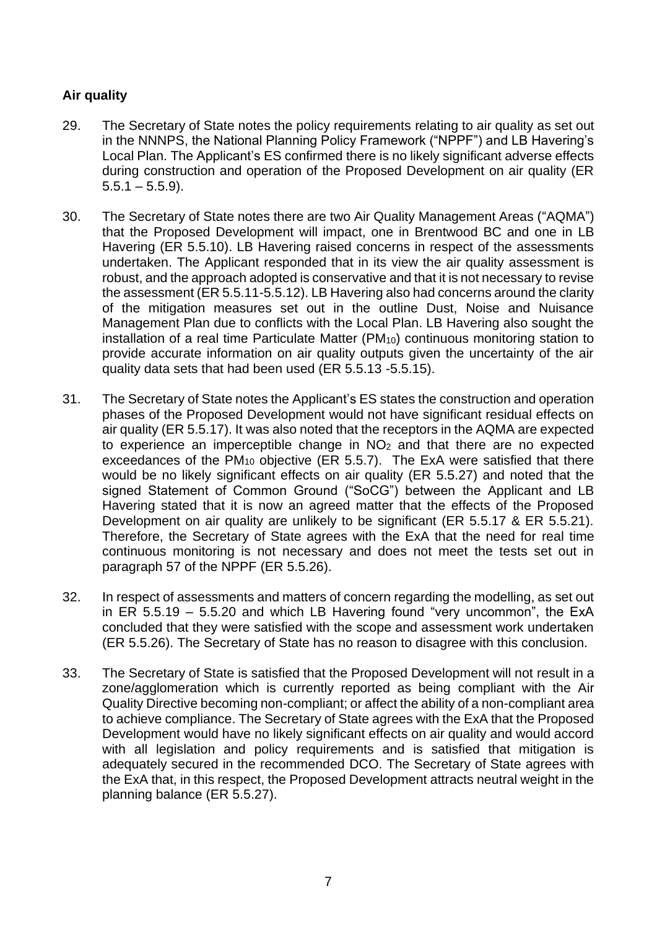# **Air quality**

- 29. The Secretary of State notes the policy requirements relating to air quality as set out in the NNNPS, the National Planning Policy Framework ("NPPF") and LB Havering's Local Plan. The Applicant's ES confirmed there is no likely significant adverse effects during construction and operation of the Proposed Development on air quality (ER  $5.5.1 - 5.5.9$ ).
- 30. The Secretary of State notes there are two Air Quality Management Areas ("AQMA") that the Proposed Development will impact, one in Brentwood BC and one in LB Havering (ER 5.5.10). LB Havering raised concerns in respect of the assessments undertaken. The Applicant responded that in its view the air quality assessment is robust, and the approach adopted is conservative and that it is not necessary to revise the assessment (ER 5.5.11-5.5.12). LB Havering also had concerns around the clarity of the mitigation measures set out in the outline Dust, Noise and Nuisance Management Plan due to conflicts with the Local Plan. LB Havering also sought the installation of a real time Particulate Matter (PM<sub>10</sub>) continuous monitoring station to provide accurate information on air quality outputs given the uncertainty of the air quality data sets that had been used (ER 5.5.13 -5.5.15).
- 31. The Secretary of State notes the Applicant's ES states the construction and operation phases of the Proposed Development would not have significant residual effects on air quality (ER 5.5.17). It was also noted that the receptors in the AQMA are expected to experience an imperceptible change in NO<sup>2</sup> and that there are no expected exceedances of the PM<sub>10</sub> objective (ER 5.5.7). The ExA were satisfied that there would be no likely significant effects on air quality (ER 5.5.27) and noted that the signed Statement of Common Ground ("SoCG") between the Applicant and LB Havering stated that it is now an agreed matter that the effects of the Proposed Development on air quality are unlikely to be significant (ER 5.5.17 & ER 5.5.21). Therefore, the Secretary of State agrees with the ExA that the need for real time continuous monitoring is not necessary and does not meet the tests set out in paragraph 57 of the NPPF (ER 5.5.26).
- 32. In respect of assessments and matters of concern regarding the modelling, as set out in ER 5.5.19 – 5.5.20 and which LB Havering found "very uncommon", the ExA concluded that they were satisfied with the scope and assessment work undertaken (ER 5.5.26). The Secretary of State has no reason to disagree with this conclusion.
- 33. The Secretary of State is satisfied that the Proposed Development will not result in a zone/agglomeration which is currently reported as being compliant with the Air Quality Directive becoming non-compliant; or affect the ability of a non-compliant area to achieve compliance. The Secretary of State agrees with the ExA that the Proposed Development would have no likely significant effects on air quality and would accord with all legislation and policy requirements and is satisfied that mitigation is adequately secured in the recommended DCO. The Secretary of State agrees with the ExA that, in this respect, the Proposed Development attracts neutral weight in the planning balance (ER 5.5.27).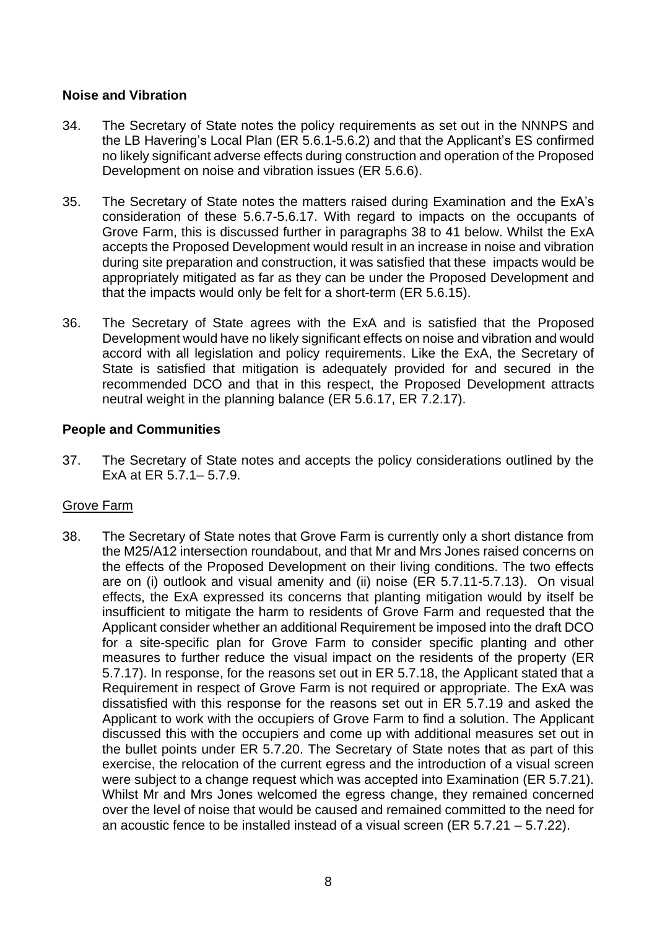## **Noise and Vibration**

- 34. The Secretary of State notes the policy requirements as set out in the NNNPS and the LB Havering's Local Plan (ER 5.6.1-5.6.2) and that the Applicant's ES confirmed no likely significant adverse effects during construction and operation of the Proposed Development on noise and vibration issues (ER 5.6.6).
- 35. The Secretary of State notes the matters raised during Examination and the ExA's consideration of these 5.6.7-5.6.17. With regard to impacts on the occupants of Grove Farm, this is discussed further in paragraphs 38 to 41 below. Whilst the ExA accepts the Proposed Development would result in an increase in noise and vibration during site preparation and construction, it was satisfied that these impacts would be appropriately mitigated as far as they can be under the Proposed Development and that the impacts would only be felt for a short-term (ER 5.6.15).
- 36. The Secretary of State agrees with the ExA and is satisfied that the Proposed Development would have no likely significant effects on noise and vibration and would accord with all legislation and policy requirements. Like the ExA, the Secretary of State is satisfied that mitigation is adequately provided for and secured in the recommended DCO and that in this respect, the Proposed Development attracts neutral weight in the planning balance (ER 5.6.17, ER 7.2.17).

## **People and Communities**

37. The Secretary of State notes and accepts the policy considerations outlined by the ExA at ER 5.7.1– 5.7.9.

## Grove Farm

38. The Secretary of State notes that Grove Farm is currently only a short distance from the M25/A12 intersection roundabout, and that Mr and Mrs Jones raised concerns on the effects of the Proposed Development on their living conditions. The two effects are on (i) outlook and visual amenity and (ii) noise (ER 5.7.11-5.7.13). On visual effects, the ExA expressed its concerns that planting mitigation would by itself be insufficient to mitigate the harm to residents of Grove Farm and requested that the Applicant consider whether an additional Requirement be imposed into the draft DCO for a site-specific plan for Grove Farm to consider specific planting and other measures to further reduce the visual impact on the residents of the property (ER 5.7.17). In response, for the reasons set out in ER 5.7.18, the Applicant stated that a Requirement in respect of Grove Farm is not required or appropriate. The ExA was dissatisfied with this response for the reasons set out in ER 5.7.19 and asked the Applicant to work with the occupiers of Grove Farm to find a solution. The Applicant discussed this with the occupiers and come up with additional measures set out in the bullet points under ER 5.7.20. The Secretary of State notes that as part of this exercise, the relocation of the current egress and the introduction of a visual screen were subject to a change request which was accepted into Examination (ER 5.7.21). Whilst Mr and Mrs Jones welcomed the egress change, they remained concerned over the level of noise that would be caused and remained committed to the need for an acoustic fence to be installed instead of a visual screen (ER 5.7.21 – 5.7.22).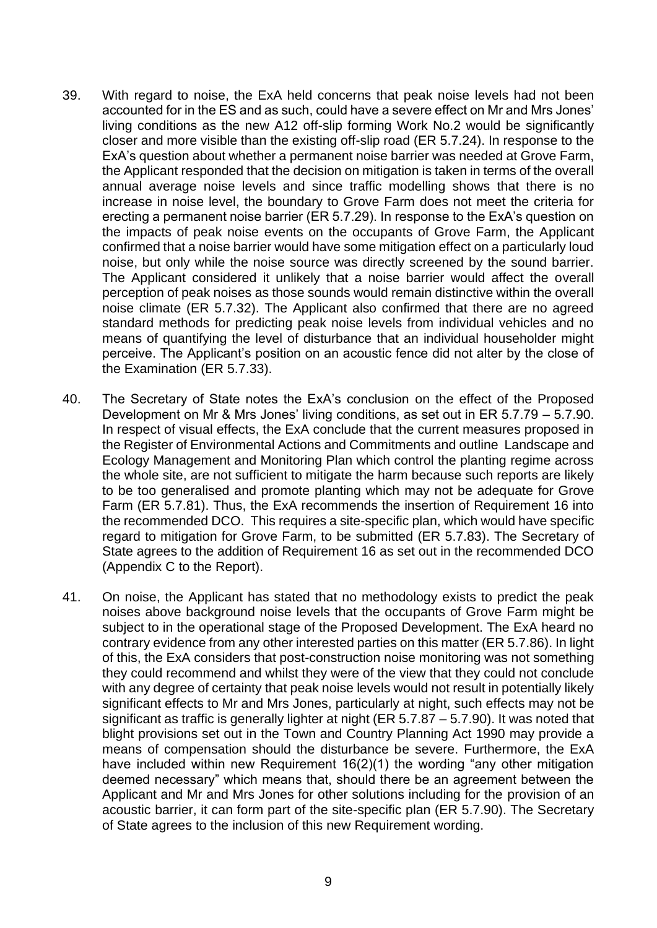- 39. With regard to noise, the ExA held concerns that peak noise levels had not been accounted for in the ES and as such, could have a severe effect on Mr and Mrs Jones' living conditions as the new A12 off-slip forming Work No.2 would be significantly closer and more visible than the existing off-slip road (ER 5.7.24). In response to the ExA's question about whether a permanent noise barrier was needed at Grove Farm, the Applicant responded that the decision on mitigation is taken in terms of the overall annual average noise levels and since traffic modelling shows that there is no increase in noise level, the boundary to Grove Farm does not meet the criteria for erecting a permanent noise barrier (ER 5.7.29). In response to the ExA's question on the impacts of peak noise events on the occupants of Grove Farm, the Applicant confirmed that a noise barrier would have some mitigation effect on a particularly loud noise, but only while the noise source was directly screened by the sound barrier. The Applicant considered it unlikely that a noise barrier would affect the overall perception of peak noises as those sounds would remain distinctive within the overall noise climate (ER 5.7.32). The Applicant also confirmed that there are no agreed standard methods for predicting peak noise levels from individual vehicles and no means of quantifying the level of disturbance that an individual householder might perceive. The Applicant's position on an acoustic fence did not alter by the close of the Examination (ER 5.7.33).
- 40. The Secretary of State notes the ExA's conclusion on the effect of the Proposed Development on Mr & Mrs Jones' living conditions, as set out in ER 5.7.79 – 5.7.90. In respect of visual effects, the ExA conclude that the current measures proposed in the Register of Environmental Actions and Commitments and outline Landscape and Ecology Management and Monitoring Plan which control the planting regime across the whole site, are not sufficient to mitigate the harm because such reports are likely to be too generalised and promote planting which may not be adequate for Grove Farm (ER 5.7.81). Thus, the ExA recommends the insertion of Requirement 16 into the recommended DCO. This requires a site-specific plan, which would have specific regard to mitigation for Grove Farm, to be submitted (ER 5.7.83). The Secretary of State agrees to the addition of Requirement 16 as set out in the recommended DCO (Appendix C to the Report).
- 41. On noise, the Applicant has stated that no methodology exists to predict the peak noises above background noise levels that the occupants of Grove Farm might be subject to in the operational stage of the Proposed Development. The ExA heard no contrary evidence from any other interested parties on this matter (ER 5.7.86). In light of this, the ExA considers that post-construction noise monitoring was not something they could recommend and whilst they were of the view that they could not conclude with any degree of certainty that peak noise levels would not result in potentially likely significant effects to Mr and Mrs Jones, particularly at night, such effects may not be significant as traffic is generally lighter at night (ER 5.7.87 – 5.7.90). It was noted that blight provisions set out in the Town and Country Planning Act 1990 may provide a means of compensation should the disturbance be severe. Furthermore, the ExA have included within new Requirement 16(2)(1) the wording "any other mitigation deemed necessary" which means that, should there be an agreement between the Applicant and Mr and Mrs Jones for other solutions including for the provision of an acoustic barrier, it can form part of the site-specific plan (ER 5.7.90). The Secretary of State agrees to the inclusion of this new Requirement wording.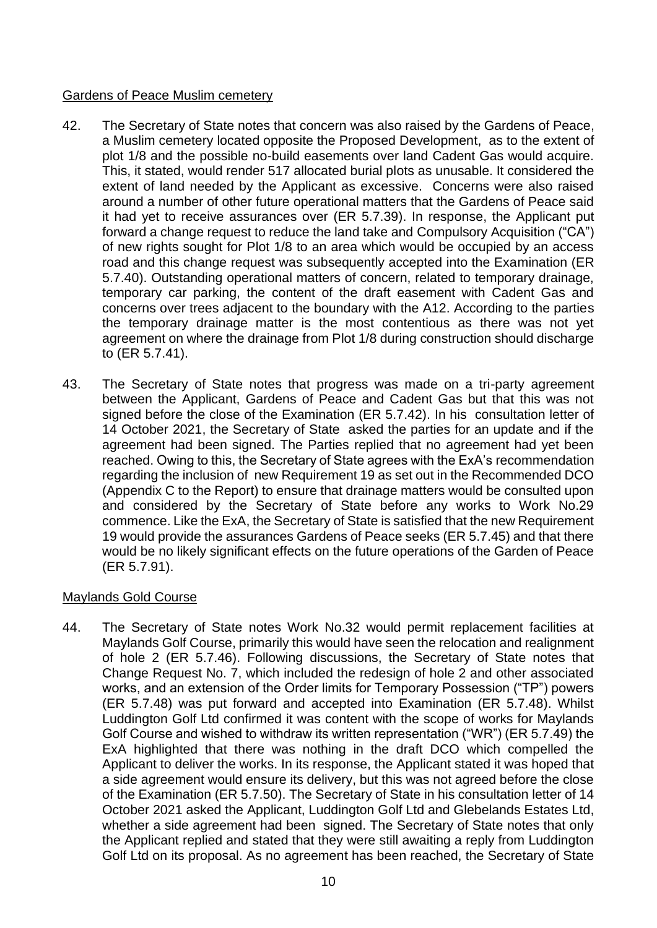## Gardens of Peace Muslim cemetery

- 42. The Secretary of State notes that concern was also raised by the Gardens of Peace, a Muslim cemetery located opposite the Proposed Development, as to the extent of plot 1/8 and the possible no-build easements over land Cadent Gas would acquire. This, it stated, would render 517 allocated burial plots as unusable. It considered the extent of land needed by the Applicant as excessive. Concerns were also raised around a number of other future operational matters that the Gardens of Peace said it had yet to receive assurances over (ER 5.7.39). In response, the Applicant put forward a change request to reduce the land take and Compulsory Acquisition ("CA") of new rights sought for Plot 1/8 to an area which would be occupied by an access road and this change request was subsequently accepted into the Examination (ER 5.7.40). Outstanding operational matters of concern, related to temporary drainage, temporary car parking, the content of the draft easement with Cadent Gas and concerns over trees adjacent to the boundary with the A12. According to the parties the temporary drainage matter is the most contentious as there was not yet agreement on where the drainage from Plot 1/8 during construction should discharge to (ER 5.7.41).
- 43. The Secretary of State notes that progress was made on a tri-party agreement between the Applicant, Gardens of Peace and Cadent Gas but that this was not signed before the close of the Examination (ER 5.7.42). In his consultation letter of 14 October 2021, the Secretary of State asked the parties for an update and if the agreement had been signed. The Parties replied that no agreement had yet been reached. Owing to this, the Secretary of State agrees with the ExA's recommendation regarding the inclusion of new Requirement 19 as set out in the Recommended DCO (Appendix C to the Report) to ensure that drainage matters would be consulted upon and considered by the Secretary of State before any works to Work No.29 commence. Like the ExA, the Secretary of State is satisfied that the new Requirement 19 would provide the assurances Gardens of Peace seeks (ER 5.7.45) and that there would be no likely significant effects on the future operations of the Garden of Peace (ER 5.7.91).

# Maylands Gold Course

44. The Secretary of State notes Work No.32 would permit replacement facilities at Maylands Golf Course, primarily this would have seen the relocation and realignment of hole 2 (ER 5.7.46). Following discussions, the Secretary of State notes that Change Request No. 7, which included the redesign of hole 2 and other associated works, and an extension of the Order limits for Temporary Possession ("TP") powers (ER 5.7.48) was put forward and accepted into Examination (ER 5.7.48). Whilst Luddington Golf Ltd confirmed it was content with the scope of works for Maylands Golf Course and wished to withdraw its written representation ("WR") (ER 5.7.49) the ExA highlighted that there was nothing in the draft DCO which compelled the Applicant to deliver the works. In its response, the Applicant stated it was hoped that a side agreement would ensure its delivery, but this was not agreed before the close of the Examination (ER 5.7.50). The Secretary of State in his consultation letter of 14 October 2021 asked the Applicant, Luddington Golf Ltd and Glebelands Estates Ltd, whether a side agreement had been signed. The Secretary of State notes that only the Applicant replied and stated that they were still awaiting a reply from Luddington Golf Ltd on its proposal. As no agreement has been reached, the Secretary of State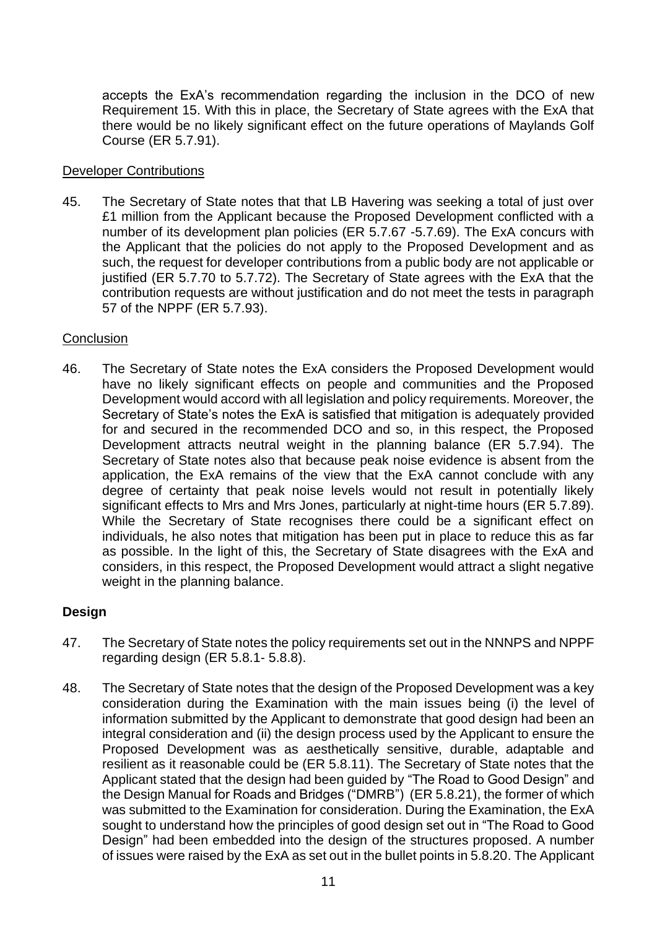accepts the ExA's recommendation regarding the inclusion in the DCO of new Requirement 15. With this in place, the Secretary of State agrees with the ExA that there would be no likely significant effect on the future operations of Maylands Golf Course (ER 5.7.91).

### Developer Contributions

45. The Secretary of State notes that that LB Havering was seeking a total of just over £1 million from the Applicant because the Proposed Development conflicted with a number of its development plan policies (ER 5.7.67 -5.7.69). The ExA concurs with the Applicant that the policies do not apply to the Proposed Development and as such, the request for developer contributions from a public body are not applicable or justified (ER 5.7.70 to 5.7.72). The Secretary of State agrees with the ExA that the contribution requests are without justification and do not meet the tests in paragraph 57 of the NPPF (ER 5.7.93).

### **Conclusion**

46. The Secretary of State notes the ExA considers the Proposed Development would have no likely significant effects on people and communities and the Proposed Development would accord with all legislation and policy requirements. Moreover, the Secretary of State's notes the ExA is satisfied that mitigation is adequately provided for and secured in the recommended DCO and so, in this respect, the Proposed Development attracts neutral weight in the planning balance (ER 5.7.94). The Secretary of State notes also that because peak noise evidence is absent from the application, the ExA remains of the view that the ExA cannot conclude with any degree of certainty that peak noise levels would not result in potentially likely significant effects to Mrs and Mrs Jones, particularly at night-time hours (ER 5.7.89). While the Secretary of State recognises there could be a significant effect on individuals, he also notes that mitigation has been put in place to reduce this as far as possible. In the light of this, the Secretary of State disagrees with the ExA and considers, in this respect, the Proposed Development would attract a slight negative weight in the planning balance.

## **Design**

- 47. The Secretary of State notes the policy requirements set out in the NNNPS and NPPF regarding design (ER 5.8.1- 5.8.8).
- 48. The Secretary of State notes that the design of the Proposed Development was a key consideration during the Examination with the main issues being (i) the level of information submitted by the Applicant to demonstrate that good design had been an integral consideration and (ii) the design process used by the Applicant to ensure the Proposed Development was as aesthetically sensitive, durable, adaptable and resilient as it reasonable could be (ER 5.8.11). The Secretary of State notes that the Applicant stated that the design had been guided by "The Road to Good Design" and the Design Manual for Roads and Bridges ("DMRB") (ER 5.8.21), the former of which was submitted to the Examination for consideration. During the Examination, the ExA sought to understand how the principles of good design set out in "The Road to Good Design" had been embedded into the design of the structures proposed. A number of issues were raised by the ExA as set out in the bullet points in 5.8.20. The Applicant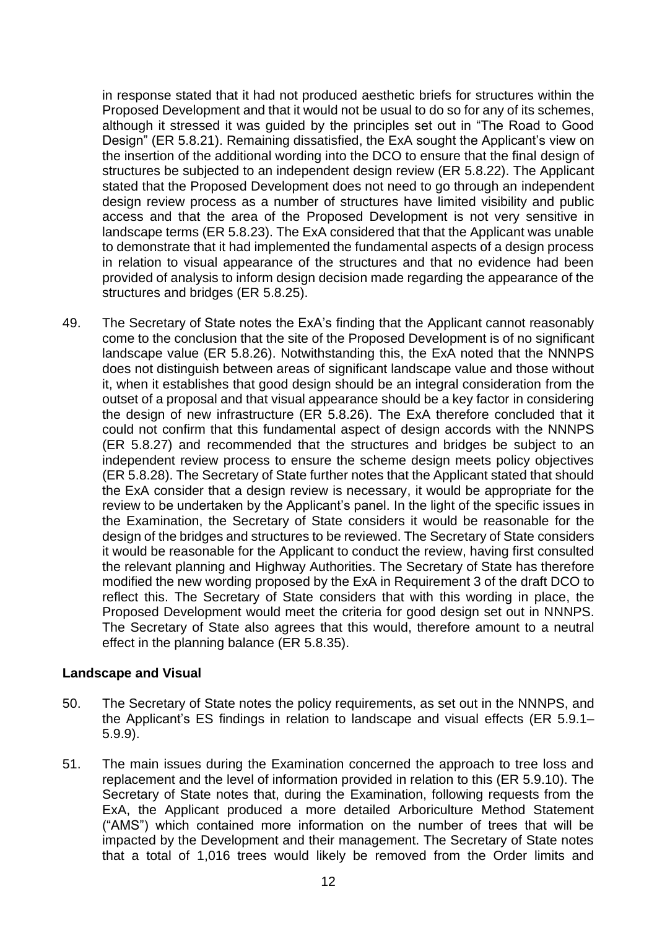in response stated that it had not produced aesthetic briefs for structures within the Proposed Development and that it would not be usual to do so for any of its schemes, although it stressed it was guided by the principles set out in "The Road to Good Design" (ER 5.8.21). Remaining dissatisfied, the ExA sought the Applicant's view on the insertion of the additional wording into the DCO to ensure that the final design of structures be subjected to an independent design review (ER 5.8.22). The Applicant stated that the Proposed Development does not need to go through an independent design review process as a number of structures have limited visibility and public access and that the area of the Proposed Development is not very sensitive in landscape terms (ER 5.8.23). The ExA considered that that the Applicant was unable to demonstrate that it had implemented the fundamental aspects of a design process in relation to visual appearance of the structures and that no evidence had been provided of analysis to inform design decision made regarding the appearance of the structures and bridges (ER 5.8.25).

49. The Secretary of State notes the ExA's finding that the Applicant cannot reasonably come to the conclusion that the site of the Proposed Development is of no significant landscape value (ER 5.8.26). Notwithstanding this, the ExA noted that the NNNPS does not distinguish between areas of significant landscape value and those without it, when it establishes that good design should be an integral consideration from the outset of a proposal and that visual appearance should be a key factor in considering the design of new infrastructure (ER 5.8.26). The ExA therefore concluded that it could not confirm that this fundamental aspect of design accords with the NNNPS (ER 5.8.27) and recommended that the structures and bridges be subject to an independent review process to ensure the scheme design meets policy objectives (ER 5.8.28). The Secretary of State further notes that the Applicant stated that should the ExA consider that a design review is necessary, it would be appropriate for the review to be undertaken by the Applicant's panel. In the light of the specific issues in the Examination, the Secretary of State considers it would be reasonable for the design of the bridges and structures to be reviewed. The Secretary of State considers it would be reasonable for the Applicant to conduct the review, having first consulted the relevant planning and Highway Authorities. The Secretary of State has therefore modified the new wording proposed by the ExA in Requirement 3 of the draft DCO to reflect this. The Secretary of State considers that with this wording in place, the Proposed Development would meet the criteria for good design set out in NNNPS. The Secretary of State also agrees that this would, therefore amount to a neutral effect in the planning balance (ER 5.8.35).

## **Landscape and Visual**

- 50. The Secretary of State notes the policy requirements, as set out in the NNNPS, and the Applicant's ES findings in relation to landscape and visual effects (ER 5.9.1– 5.9.9).
- 51. The main issues during the Examination concerned the approach to tree loss and replacement and the level of information provided in relation to this (ER 5.9.10). The Secretary of State notes that, during the Examination, following requests from the ExA, the Applicant produced a more detailed Arboriculture Method Statement ("AMS") which contained more information on the number of trees that will be impacted by the Development and their management. The Secretary of State notes that a total of 1,016 trees would likely be removed from the Order limits and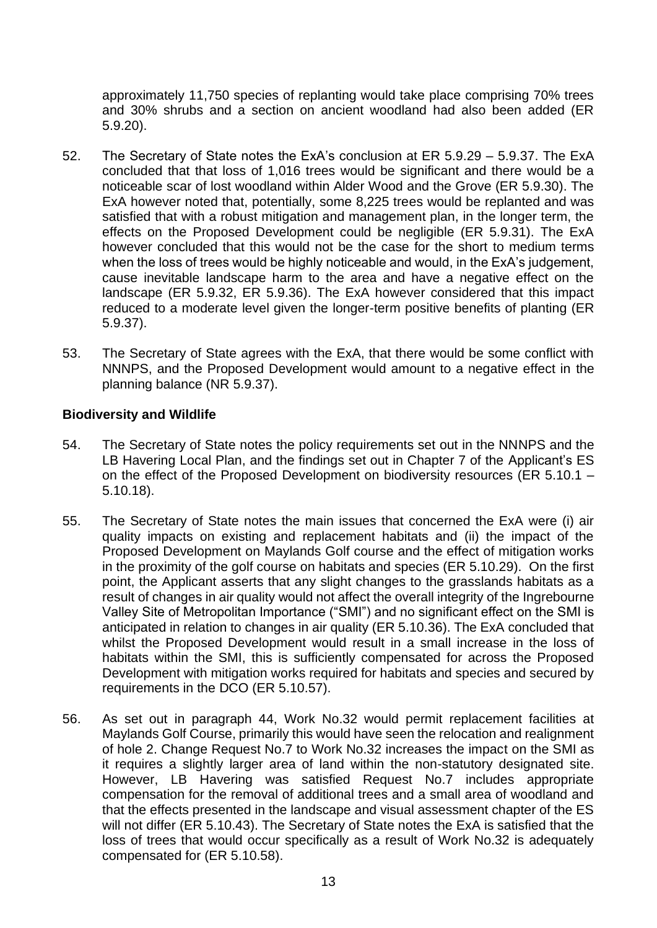approximately 11,750 species of replanting would take place comprising 70% trees and 30% shrubs and a section on ancient woodland had also been added (ER 5.9.20).

- 52. The Secretary of State notes the ExA's conclusion at ER 5.9.29 5.9.37. The ExA concluded that that loss of 1,016 trees would be significant and there would be a noticeable scar of lost woodland within Alder Wood and the Grove (ER 5.9.30). The ExA however noted that, potentially, some 8,225 trees would be replanted and was satisfied that with a robust mitigation and management plan, in the longer term, the effects on the Proposed Development could be negligible (ER 5.9.31). The ExA however concluded that this would not be the case for the short to medium terms when the loss of trees would be highly noticeable and would, in the ExA's judgement, cause inevitable landscape harm to the area and have a negative effect on the landscape (ER 5.9.32, ER 5.9.36). The ExA however considered that this impact reduced to a moderate level given the longer-term positive benefits of planting (ER 5.9.37).
- 53. The Secretary of State agrees with the ExA, that there would be some conflict with NNNPS, and the Proposed Development would amount to a negative effect in the planning balance (NR 5.9.37).

## **Biodiversity and Wildlife**

- 54. The Secretary of State notes the policy requirements set out in the NNNPS and the LB Havering Local Plan, and the findings set out in Chapter 7 of the Applicant's ES on the effect of the Proposed Development on biodiversity resources (ER 5.10.1 – 5.10.18).
- 55. The Secretary of State notes the main issues that concerned the ExA were (i) air quality impacts on existing and replacement habitats and (ii) the impact of the Proposed Development on Maylands Golf course and the effect of mitigation works in the proximity of the golf course on habitats and species (ER 5.10.29). On the first point, the Applicant asserts that any slight changes to the grasslands habitats as a result of changes in air quality would not affect the overall integrity of the Ingrebourne Valley Site of Metropolitan Importance ("SMI") and no significant effect on the SMI is anticipated in relation to changes in air quality (ER 5.10.36). The ExA concluded that whilst the Proposed Development would result in a small increase in the loss of habitats within the SMI, this is sufficiently compensated for across the Proposed Development with mitigation works required for habitats and species and secured by requirements in the DCO (ER 5.10.57).
- 56. As set out in paragraph 44, Work No.32 would permit replacement facilities at Maylands Golf Course, primarily this would have seen the relocation and realignment of hole 2. Change Request No.7 to Work No.32 increases the impact on the SMI as it requires a slightly larger area of land within the non-statutory designated site. However, LB Havering was satisfied Request No.7 includes appropriate compensation for the removal of additional trees and a small area of woodland and that the effects presented in the landscape and visual assessment chapter of the ES will not differ (ER 5.10.43). The Secretary of State notes the ExA is satisfied that the loss of trees that would occur specifically as a result of Work No.32 is adequately compensated for (ER 5.10.58).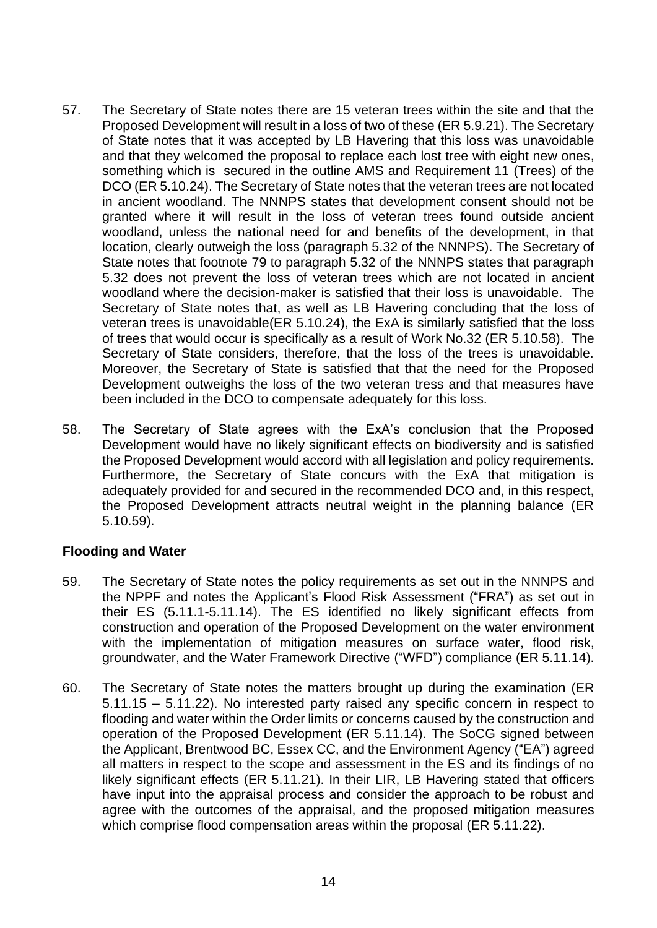- 57. The Secretary of State notes there are 15 veteran trees within the site and that the Proposed Development will result in a loss of two of these (ER 5.9.21). The Secretary of State notes that it was accepted by LB Havering that this loss was unavoidable and that they welcomed the proposal to replace each lost tree with eight new ones, something which is secured in the outline AMS and Requirement 11 (Trees) of the DCO (ER 5.10.24). The Secretary of State notes that the veteran trees are not located in ancient woodland. The NNNPS states that development consent should not be granted where it will result in the loss of veteran trees found outside ancient woodland, unless the national need for and benefits of the development, in that location, clearly outweigh the loss (paragraph 5.32 of the NNNPS). The Secretary of State notes that footnote 79 to paragraph 5.32 of the NNNPS states that paragraph 5.32 does not prevent the loss of veteran trees which are not located in ancient woodland where the decision-maker is satisfied that their loss is unavoidable. The Secretary of State notes that, as well as LB Havering concluding that the loss of veteran trees is unavoidable(ER 5.10.24), the ExA is similarly satisfied that the loss of trees that would occur is specifically as a result of Work No.32 (ER 5.10.58). The Secretary of State considers, therefore, that the loss of the trees is unavoidable. Moreover, the Secretary of State is satisfied that that the need for the Proposed Development outweighs the loss of the two veteran tress and that measures have been included in the DCO to compensate adequately for this loss.
- 58. The Secretary of State agrees with the ExA's conclusion that the Proposed Development would have no likely significant effects on biodiversity and is satisfied the Proposed Development would accord with all legislation and policy requirements. Furthermore, the Secretary of State concurs with the ExA that mitigation is adequately provided for and secured in the recommended DCO and, in this respect, the Proposed Development attracts neutral weight in the planning balance (ER 5.10.59).

## **Flooding and Water**

- 59. The Secretary of State notes the policy requirements as set out in the NNNPS and the NPPF and notes the Applicant's Flood Risk Assessment ("FRA") as set out in their ES (5.11.1-5.11.14). The ES identified no likely significant effects from construction and operation of the Proposed Development on the water environment with the implementation of mitigation measures on surface water, flood risk, groundwater, and the Water Framework Directive ("WFD") compliance (ER 5.11.14).
- 60. The Secretary of State notes the matters brought up during the examination (ER 5.11.15 – 5.11.22). No interested party raised any specific concern in respect to flooding and water within the Order limits or concerns caused by the construction and operation of the Proposed Development (ER 5.11.14). The SoCG signed between the Applicant, Brentwood BC, Essex CC, and the Environment Agency ("EA") agreed all matters in respect to the scope and assessment in the ES and its findings of no likely significant effects (ER 5.11.21). In their LIR, LB Havering stated that officers have input into the appraisal process and consider the approach to be robust and agree with the outcomes of the appraisal, and the proposed mitigation measures which comprise flood compensation areas within the proposal (ER 5.11.22).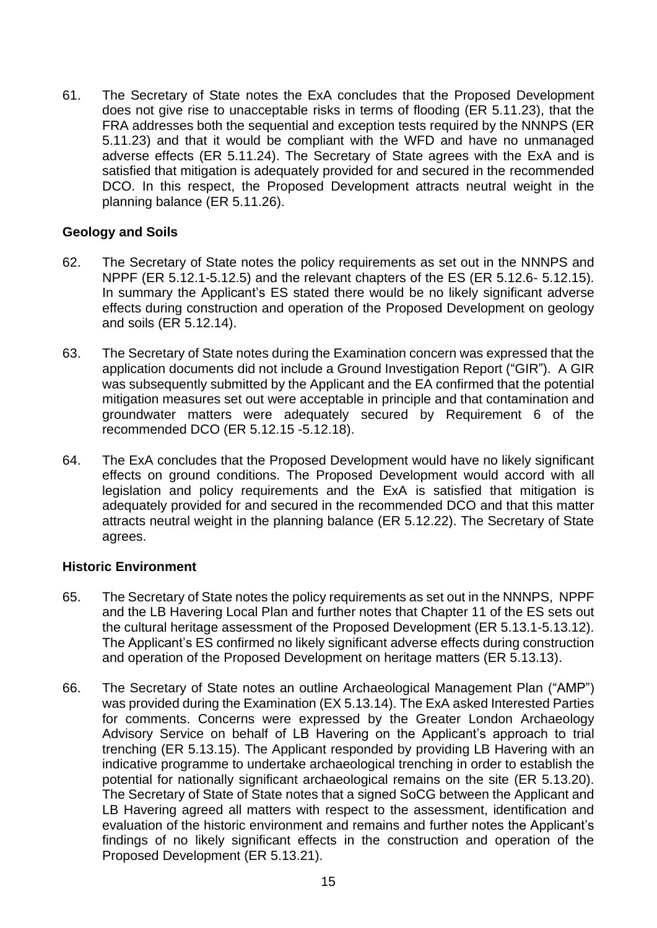61. The Secretary of State notes the ExA concludes that the Proposed Development does not give rise to unacceptable risks in terms of flooding (ER 5.11.23), that the FRA addresses both the sequential and exception tests required by the NNNPS (ER 5.11.23) and that it would be compliant with the WFD and have no unmanaged adverse effects (ER 5.11.24). The Secretary of State agrees with the ExA and is satisfied that mitigation is adequately provided for and secured in the recommended DCO. In this respect, the Proposed Development attracts neutral weight in the planning balance (ER 5.11.26).

## **Geology and Soils**

- 62. The Secretary of State notes the policy requirements as set out in the NNNPS and NPPF (ER 5.12.1-5.12.5) and the relevant chapters of the ES (ER 5.12.6- 5.12.15). In summary the Applicant's ES stated there would be no likely significant adverse effects during construction and operation of the Proposed Development on geology and soils (ER 5.12.14).
- 63. The Secretary of State notes during the Examination concern was expressed that the application documents did not include a Ground Investigation Report ("GIR"). A GIR was subsequently submitted by the Applicant and the EA confirmed that the potential mitigation measures set out were acceptable in principle and that contamination and groundwater matters were adequately secured by Requirement 6 of the recommended DCO (ER 5.12.15 -5.12.18).
- 64. The ExA concludes that the Proposed Development would have no likely significant effects on ground conditions. The Proposed Development would accord with all legislation and policy requirements and the ExA is satisfied that mitigation is adequately provided for and secured in the recommended DCO and that this matter attracts neutral weight in the planning balance (ER 5.12.22). The Secretary of State agrees.

## **Historic Environment**

- 65. The Secretary of State notes the policy requirements as set out in the NNNPS, NPPF and the LB Havering Local Plan and further notes that Chapter 11 of the ES sets out the cultural heritage assessment of the Proposed Development (ER 5.13.1-5.13.12). The Applicant's ES confirmed no likely significant adverse effects during construction and operation of the Proposed Development on heritage matters (ER 5.13.13).
- 66. The Secretary of State notes an outline Archaeological Management Plan ("AMP") was provided during the Examination (EX 5.13.14). The ExA asked Interested Parties for comments. Concerns were expressed by the Greater London Archaeology Advisory Service on behalf of LB Havering on the Applicant's approach to trial trenching (ER 5.13.15). The Applicant responded by providing LB Havering with an indicative programme to undertake archaeological trenching in order to establish the potential for nationally significant archaeological remains on the site (ER 5.13.20). The Secretary of State of State notes that a signed SoCG between the Applicant and LB Havering agreed all matters with respect to the assessment, identification and evaluation of the historic environment and remains and further notes the Applicant's findings of no likely significant effects in the construction and operation of the Proposed Development (ER 5.13.21).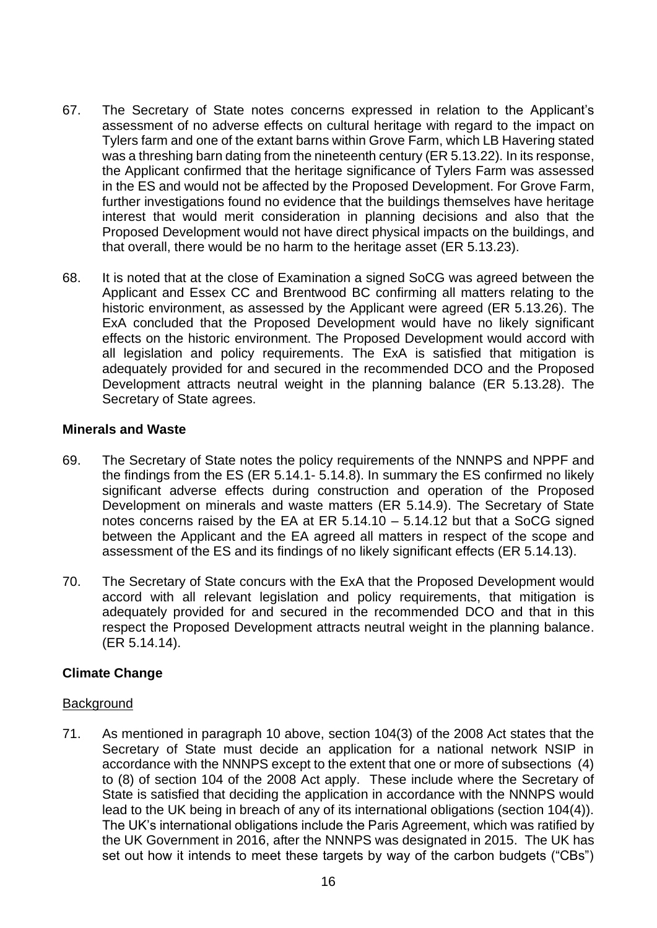- 67. The Secretary of State notes concerns expressed in relation to the Applicant's assessment of no adverse effects on cultural heritage with regard to the impact on Tylers farm and one of the extant barns within Grove Farm, which LB Havering stated was a threshing barn dating from the nineteenth century (ER 5.13.22). In its response, the Applicant confirmed that the heritage significance of Tylers Farm was assessed in the ES and would not be affected by the Proposed Development. For Grove Farm, further investigations found no evidence that the buildings themselves have heritage interest that would merit consideration in planning decisions and also that the Proposed Development would not have direct physical impacts on the buildings, and that overall, there would be no harm to the heritage asset (ER 5.13.23).
- 68. It is noted that at the close of Examination a signed SoCG was agreed between the Applicant and Essex CC and Brentwood BC confirming all matters relating to the historic environment, as assessed by the Applicant were agreed (ER 5.13.26). The ExA concluded that the Proposed Development would have no likely significant effects on the historic environment. The Proposed Development would accord with all legislation and policy requirements. The ExA is satisfied that mitigation is adequately provided for and secured in the recommended DCO and the Proposed Development attracts neutral weight in the planning balance (ER 5.13.28). The Secretary of State agrees.

## **Minerals and Waste**

- 69. The Secretary of State notes the policy requirements of the NNNPS and NPPF and the findings from the ES (ER 5.14.1- 5.14.8). In summary the ES confirmed no likely significant adverse effects during construction and operation of the Proposed Development on minerals and waste matters (ER 5.14.9). The Secretary of State notes concerns raised by the EA at ER 5.14.10 – 5.14.12 but that a SoCG signed between the Applicant and the EA agreed all matters in respect of the scope and assessment of the ES and its findings of no likely significant effects (ER 5.14.13).
- 70. The Secretary of State concurs with the ExA that the Proposed Development would accord with all relevant legislation and policy requirements, that mitigation is adequately provided for and secured in the recommended DCO and that in this respect the Proposed Development attracts neutral weight in the planning balance. (ER 5.14.14).

# **Climate Change**

## **Background**

71. As mentioned in paragraph 10 above, section 104(3) of the 2008 Act states that the Secretary of State must decide an application for a national network NSIP in accordance with the NNNPS except to the extent that one or more of subsections (4) to (8) of section 104 of the 2008 Act apply. These include where the Secretary of State is satisfied that deciding the application in accordance with the NNNPS would lead to the UK being in breach of any of its international obligations (section 104(4)). The UK's international obligations include the Paris Agreement, which was ratified by the UK Government in 2016, after the NNNPS was designated in 2015. The UK has set out how it intends to meet these targets by way of the carbon budgets ("CBs")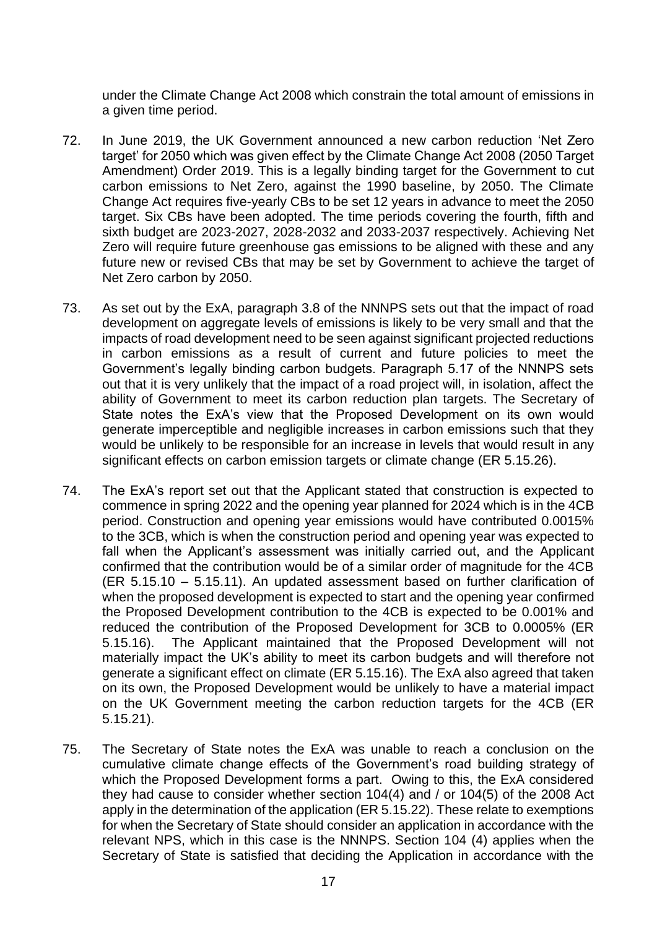under the Climate Change Act 2008 which constrain the total amount of emissions in a given time period.

- 72. In June 2019, the UK Government announced a new carbon reduction 'Net Zero target' for 2050 which was given effect by the Climate Change Act 2008 (2050 Target Amendment) Order 2019. This is a legally binding target for the Government to cut carbon emissions to Net Zero, against the 1990 baseline, by 2050. The Climate Change Act requires five-yearly CBs to be set 12 years in advance to meet the 2050 target. Six CBs have been adopted. The time periods covering the fourth, fifth and sixth budget are 2023-2027, 2028-2032 and 2033-2037 respectively. Achieving Net Zero will require future greenhouse gas emissions to be aligned with these and any future new or revised CBs that may be set by Government to achieve the target of Net Zero carbon by 2050.
- 73. As set out by the ExA, paragraph 3.8 of the NNNPS sets out that the impact of road development on aggregate levels of emissions is likely to be very small and that the impacts of road development need to be seen against significant projected reductions in carbon emissions as a result of current and future policies to meet the Government's legally binding carbon budgets. Paragraph 5.17 of the NNNPS sets out that it is very unlikely that the impact of a road project will, in isolation, affect the ability of Government to meet its carbon reduction plan targets. The Secretary of State notes the ExA's view that the Proposed Development on its own would generate imperceptible and negligible increases in carbon emissions such that they would be unlikely to be responsible for an increase in levels that would result in any significant effects on carbon emission targets or climate change (ER 5.15.26).
- 74. The ExA's report set out that the Applicant stated that construction is expected to commence in spring 2022 and the opening year planned for 2024 which is in the 4CB period. Construction and opening year emissions would have contributed 0.0015% to the 3CB, which is when the construction period and opening year was expected to fall when the Applicant's assessment was initially carried out, and the Applicant confirmed that the contribution would be of a similar order of magnitude for the 4CB (ER 5.15.10 – 5.15.11). An updated assessment based on further clarification of when the proposed development is expected to start and the opening year confirmed the Proposed Development contribution to the 4CB is expected to be 0.001% and reduced the contribution of the Proposed Development for 3CB to 0.0005% (ER 5.15.16). The Applicant maintained that the Proposed Development will not materially impact the UK's ability to meet its carbon budgets and will therefore not generate a significant effect on climate (ER 5.15.16). The ExA also agreed that taken on its own, the Proposed Development would be unlikely to have a material impact on the UK Government meeting the carbon reduction targets for the 4CB (ER 5.15.21).
- 75. The Secretary of State notes the ExA was unable to reach a conclusion on the cumulative climate change effects of the Government's road building strategy of which the Proposed Development forms a part. Owing to this, the ExA considered they had cause to consider whether section 104(4) and / or 104(5) of the 2008 Act apply in the determination of the application (ER 5.15.22). These relate to exemptions for when the Secretary of State should consider an application in accordance with the relevant NPS, which in this case is the NNNPS. Section 104 (4) applies when the Secretary of State is satisfied that deciding the Application in accordance with the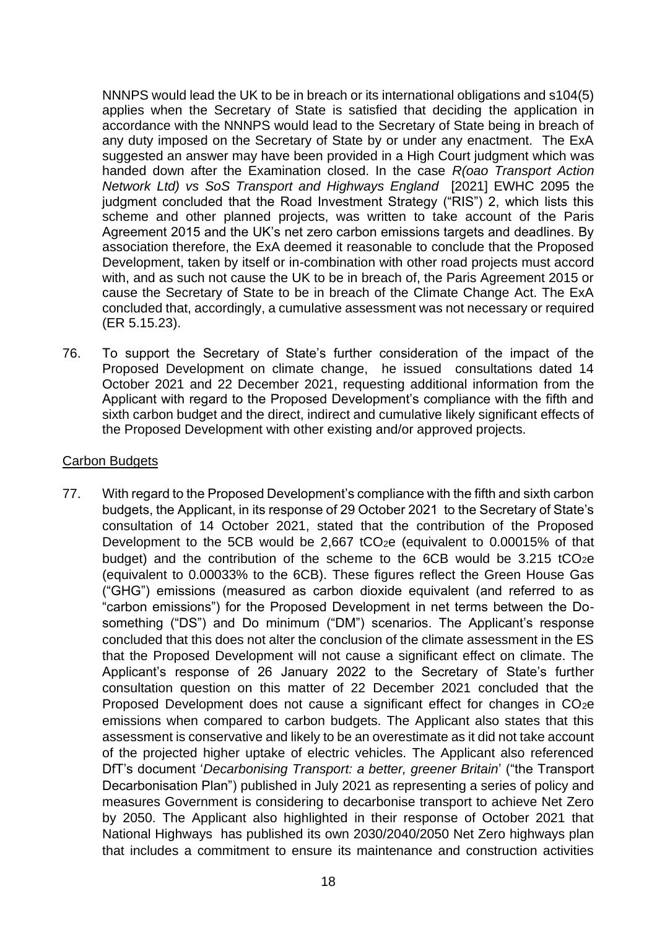NNNPS would lead the UK to be in breach or its international obligations and s104(5) applies when the Secretary of State is satisfied that deciding the application in accordance with the NNNPS would lead to the Secretary of State being in breach of any duty imposed on the Secretary of State by or under any enactment. The ExA suggested an answer may have been provided in a High Court judgment which was handed down after the Examination closed. In the case *R(oao Transport Action Network Ltd) vs SoS Transport and Highways England* [2021] EWHC 2095 the judgment concluded that the Road Investment Strategy ("RIS") 2, which lists this scheme and other planned projects, was written to take account of the Paris Agreement 2015 and the UK's net zero carbon emissions targets and deadlines. By association therefore, the ExA deemed it reasonable to conclude that the Proposed Development, taken by itself or in-combination with other road projects must accord with, and as such not cause the UK to be in breach of, the Paris Agreement 2015 or cause the Secretary of State to be in breach of the Climate Change Act. The ExA concluded that, accordingly, a cumulative assessment was not necessary or required (ER 5.15.23).

76. To support the Secretary of State's further consideration of the impact of the Proposed Development on climate change, he issued consultations dated 14 October 2021 and 22 December 2021, requesting additional information from the Applicant with regard to the Proposed Development's compliance with the fifth and sixth carbon budget and the direct, indirect and cumulative likely significant effects of the Proposed Development with other existing and/or approved projects.

### Carbon Budgets

77. With regard to the Proposed Development's compliance with the fifth and sixth carbon budgets, the Applicant, in its response of 29 October 2021 to the Secretary of State's consultation of 14 October 2021, stated that the contribution of the Proposed Development to the 5CB would be 2,667 tCO<sub>2</sub>e (equivalent to  $0.00015\%$  of that budget) and the contribution of the scheme to the 6CB would be  $3.215$  tCO<sub>2</sub>e (equivalent to 0.00033% to the 6CB). These figures reflect the Green House Gas ("GHG") emissions (measured as carbon dioxide equivalent (and referred to as "carbon emissions") for the Proposed Development in net terms between the Dosomething ("DS") and Do minimum ("DM") scenarios. The Applicant's response concluded that this does not alter the conclusion of the climate assessment in the ES that the Proposed Development will not cause a significant effect on climate. The Applicant's response of 26 January 2022 to the Secretary of State's further consultation question on this matter of 22 December 2021 concluded that the Proposed Development does not cause a significant effect for changes in CO<sub>2</sub>e emissions when compared to carbon budgets. The Applicant also states that this assessment is conservative and likely to be an overestimate as it did not take account of the projected higher uptake of electric vehicles. The Applicant also referenced DfT's document '*Decarbonising Transport: a better, greener Britain*' ("the Transport Decarbonisation Plan") published in July 2021 as representing a series of policy and measures Government is considering to decarbonise transport to achieve Net Zero by 2050. The Applicant also highlighted in their response of October 2021 that National Highways has published its own 2030/2040/2050 Net Zero highways plan that includes a commitment to ensure its maintenance and construction activities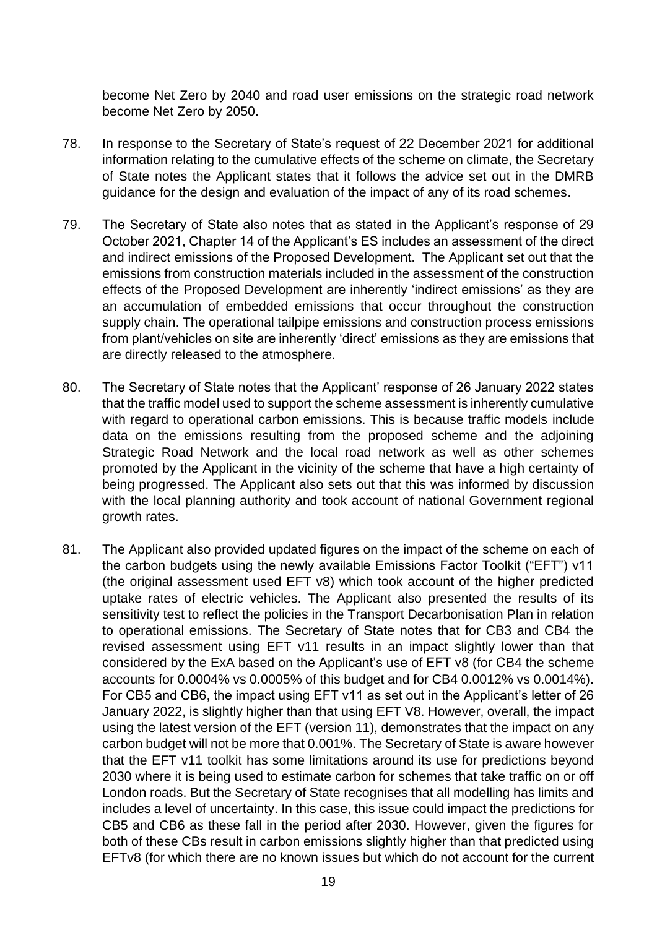become Net Zero by 2040 and road user emissions on the strategic road network become Net Zero by 2050.

- 78. In response to the Secretary of State's request of 22 December 2021 for additional information relating to the cumulative effects of the scheme on climate, the Secretary of State notes the Applicant states that it follows the advice set out in the DMRB guidance for the design and evaluation of the impact of any of its road schemes.
- 79. The Secretary of State also notes that as stated in the Applicant's response of 29 October 2021, Chapter 14 of the Applicant's ES includes an assessment of the direct and indirect emissions of the Proposed Development. The Applicant set out that the emissions from construction materials included in the assessment of the construction effects of the Proposed Development are inherently 'indirect emissions' as they are an accumulation of embedded emissions that occur throughout the construction supply chain. The operational tailpipe emissions and construction process emissions from plant/vehicles on site are inherently 'direct' emissions as they are emissions that are directly released to the atmosphere.
- 80. The Secretary of State notes that the Applicant' response of 26 January 2022 states that the traffic model used to support the scheme assessment is inherently cumulative with regard to operational carbon emissions. This is because traffic models include data on the emissions resulting from the proposed scheme and the adjoining Strategic Road Network and the local road network as well as other schemes promoted by the Applicant in the vicinity of the scheme that have a high certainty of being progressed. The Applicant also sets out that this was informed by discussion with the local planning authority and took account of national Government regional growth rates.
- 81. The Applicant also provided updated figures on the impact of the scheme on each of the carbon budgets using the newly available Emissions Factor Toolkit ("EFT") v11 (the original assessment used EFT v8) which took account of the higher predicted uptake rates of electric vehicles. The Applicant also presented the results of its sensitivity test to reflect the policies in the Transport Decarbonisation Plan in relation to operational emissions. The Secretary of State notes that for CB3 and CB4 the revised assessment using EFT v11 results in an impact slightly lower than that considered by the ExA based on the Applicant's use of EFT v8 (for CB4 the scheme accounts for 0.0004% vs 0.0005% of this budget and for CB4 0.0012% vs 0.0014%). For CB5 and CB6, the impact using EFT v11 as set out in the Applicant's letter of 26 January 2022, is slightly higher than that using EFT V8. However, overall, the impact using the latest version of the EFT (version 11), demonstrates that the impact on any carbon budget will not be more that 0.001%. The Secretary of State is aware however that the EFT v11 toolkit has some limitations around its use for predictions beyond 2030 where it is being used to estimate carbon for schemes that take traffic on or off London roads. But the Secretary of State recognises that all modelling has limits and includes a level of uncertainty. In this case, this issue could impact the predictions for CB5 and CB6 as these fall in the period after 2030. However, given the figures for both of these CBs result in carbon emissions slightly higher than that predicted using EFTv8 (for which there are no known issues but which do not account for the current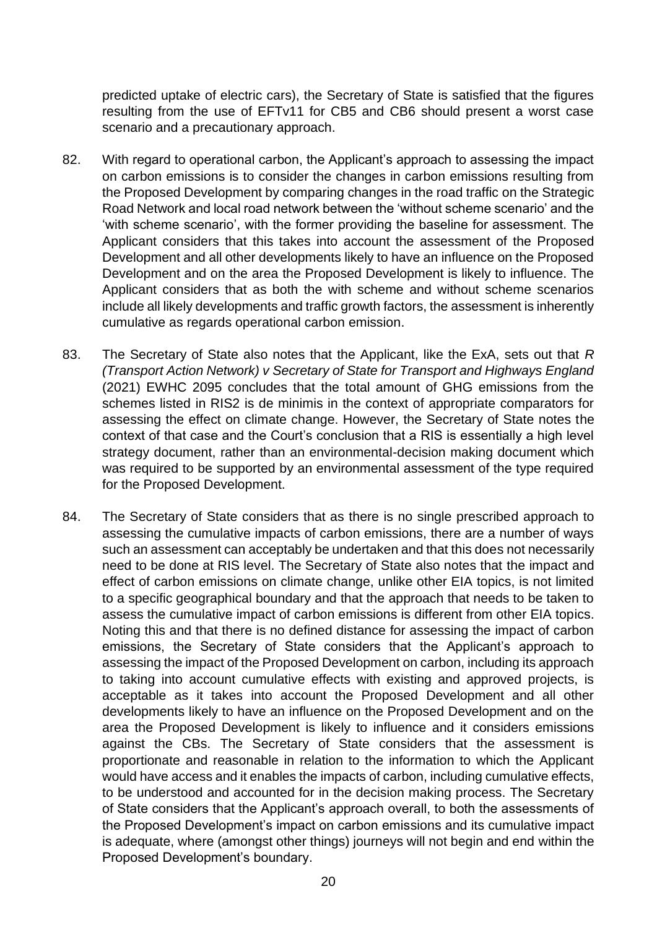predicted uptake of electric cars), the Secretary of State is satisfied that the figures resulting from the use of EFTv11 for CB5 and CB6 should present a worst case scenario and a precautionary approach.

- 82. With regard to operational carbon, the Applicant's approach to assessing the impact on carbon emissions is to consider the changes in carbon emissions resulting from the Proposed Development by comparing changes in the road traffic on the Strategic Road Network and local road network between the 'without scheme scenario' and the 'with scheme scenario', with the former providing the baseline for assessment. The Applicant considers that this takes into account the assessment of the Proposed Development and all other developments likely to have an influence on the Proposed Development and on the area the Proposed Development is likely to influence. The Applicant considers that as both the with scheme and without scheme scenarios include all likely developments and traffic growth factors, the assessment is inherently cumulative as regards operational carbon emission.
- 83. The Secretary of State also notes that the Applicant, like the ExA, sets out that *R (Transport Action Network) v Secretary of State for Transport and Highways England* (2021) EWHC 2095 concludes that the total amount of GHG emissions from the schemes listed in RIS2 is de minimis in the context of appropriate comparators for assessing the effect on climate change. However, the Secretary of State notes the context of that case and the Court's conclusion that a RIS is essentially a high level strategy document, rather than an environmental-decision making document which was required to be supported by an environmental assessment of the type required for the Proposed Development.
- 84. The Secretary of State considers that as there is no single prescribed approach to assessing the cumulative impacts of carbon emissions, there are a number of ways such an assessment can acceptably be undertaken and that this does not necessarily need to be done at RIS level. The Secretary of State also notes that the impact and effect of carbon emissions on climate change, unlike other EIA topics, is not limited to a specific geographical boundary and that the approach that needs to be taken to assess the cumulative impact of carbon emissions is different from other EIA topics. Noting this and that there is no defined distance for assessing the impact of carbon emissions, the Secretary of State considers that the Applicant's approach to assessing the impact of the Proposed Development on carbon, including its approach to taking into account cumulative effects with existing and approved projects, is acceptable as it takes into account the Proposed Development and all other developments likely to have an influence on the Proposed Development and on the area the Proposed Development is likely to influence and it considers emissions against the CBs. The Secretary of State considers that the assessment is proportionate and reasonable in relation to the information to which the Applicant would have access and it enables the impacts of carbon, including cumulative effects, to be understood and accounted for in the decision making process. The Secretary of State considers that the Applicant's approach overall, to both the assessments of the Proposed Development's impact on carbon emissions and its cumulative impact is adequate, where (amongst other things) journeys will not begin and end within the Proposed Development's boundary.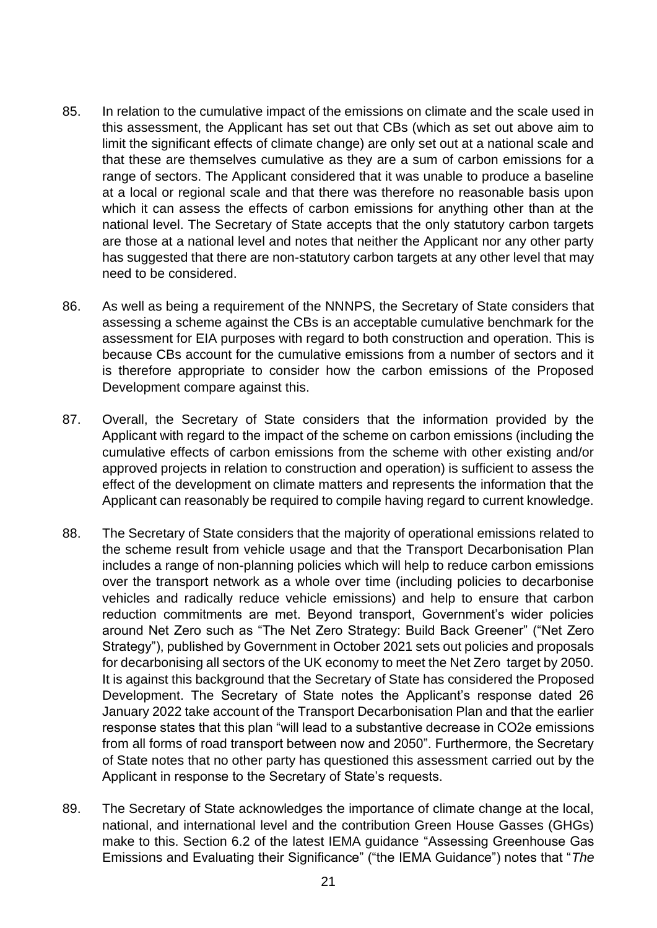- 85. In relation to the cumulative impact of the emissions on climate and the scale used in this assessment, the Applicant has set out that CBs (which as set out above aim to limit the significant effects of climate change) are only set out at a national scale and that these are themselves cumulative as they are a sum of carbon emissions for a range of sectors. The Applicant considered that it was unable to produce a baseline at a local or regional scale and that there was therefore no reasonable basis upon which it can assess the effects of carbon emissions for anything other than at the national level. The Secretary of State accepts that the only statutory carbon targets are those at a national level and notes that neither the Applicant nor any other party has suggested that there are non-statutory carbon targets at any other level that may need to be considered.
- 86. As well as being a requirement of the NNNPS, the Secretary of State considers that assessing a scheme against the CBs is an acceptable cumulative benchmark for the assessment for EIA purposes with regard to both construction and operation. This is because CBs account for the cumulative emissions from a number of sectors and it is therefore appropriate to consider how the carbon emissions of the Proposed Development compare against this.
- 87. Overall, the Secretary of State considers that the information provided by the Applicant with regard to the impact of the scheme on carbon emissions (including the cumulative effects of carbon emissions from the scheme with other existing and/or approved projects in relation to construction and operation) is sufficient to assess the effect of the development on climate matters and represents the information that the Applicant can reasonably be required to compile having regard to current knowledge.
- 88. The Secretary of State considers that the majority of operational emissions related to the scheme result from vehicle usage and that the Transport Decarbonisation Plan includes a range of non-planning policies which will help to reduce carbon emissions over the transport network as a whole over time (including policies to decarbonise vehicles and radically reduce vehicle emissions) and help to ensure that carbon reduction commitments are met. Beyond transport, Government's wider policies around Net Zero such as "The Net Zero Strategy: Build Back Greener" ("Net Zero Strategy"), published by Government in October 2021 sets out policies and proposals for decarbonising all sectors of the UK economy to meet the Net Zero target by 2050. It is against this background that the Secretary of State has considered the Proposed Development. The Secretary of State notes the Applicant's response dated 26 January 2022 take account of the Transport Decarbonisation Plan and that the earlier response states that this plan "will lead to a substantive decrease in CO2e emissions from all forms of road transport between now and 2050". Furthermore, the Secretary of State notes that no other party has questioned this assessment carried out by the Applicant in response to the Secretary of State's requests.
- 89. The Secretary of State acknowledges the importance of climate change at the local, national, and international level and the contribution Green House Gasses (GHGs) make to this. Section 6.2 of the latest IEMA guidance "Assessing Greenhouse Gas Emissions and Evaluating their Significance" ("the IEMA Guidance") notes that "*The*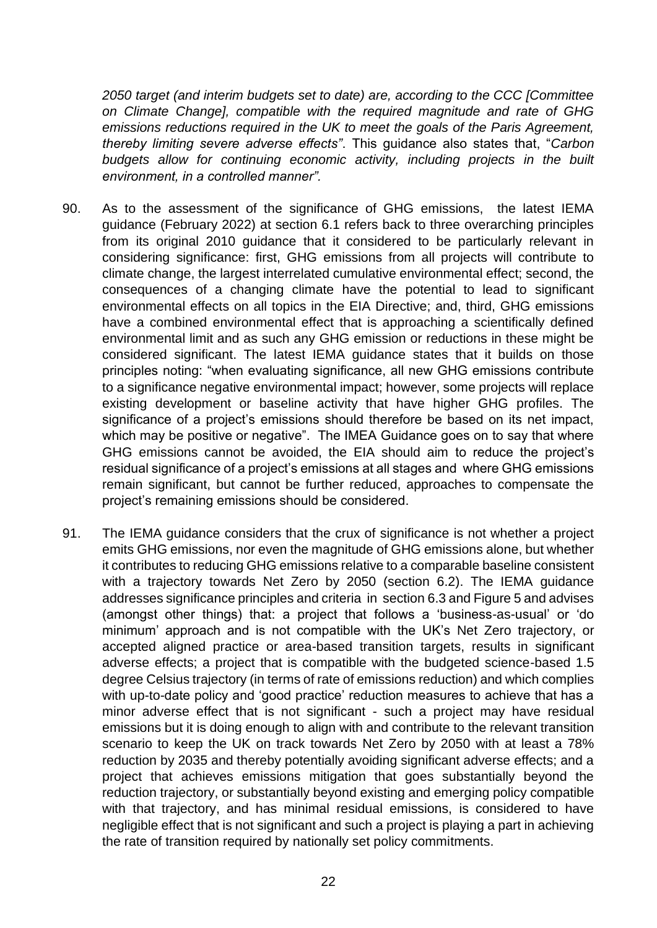*2050 target (and interim budgets set to date) are, according to the CCC [Committee on Climate Change], compatible with the required magnitude and rate of GHG emissions reductions required in the UK to meet the goals of the Paris Agreement, thereby limiting severe adverse effects"*. This guidance also states that, "*Carbon*  budgets allow for continuing economic activity, including projects in the built *environment, in a controlled manner".*

- 90. As to the assessment of the significance of GHG emissions, the latest IEMA guidance (February 2022) at section 6.1 refers back to three overarching principles from its original 2010 guidance that it considered to be particularly relevant in considering significance: first, GHG emissions from all projects will contribute to climate change, the largest interrelated cumulative environmental effect; second, the consequences of a changing climate have the potential to lead to significant environmental effects on all topics in the EIA Directive; and, third, GHG emissions have a combined environmental effect that is approaching a scientifically defined environmental limit and as such any GHG emission or reductions in these might be considered significant. The latest IEMA guidance states that it builds on those principles noting: "when evaluating significance, all new GHG emissions contribute to a significance negative environmental impact; however, some projects will replace existing development or baseline activity that have higher GHG profiles. The significance of a project's emissions should therefore be based on its net impact, which may be positive or negative". The IMEA Guidance goes on to say that where GHG emissions cannot be avoided, the EIA should aim to reduce the project's residual significance of a project's emissions at all stages and where GHG emissions remain significant, but cannot be further reduced, approaches to compensate the project's remaining emissions should be considered.
- 91. The IEMA guidance considers that the crux of significance is not whether a project emits GHG emissions, nor even the magnitude of GHG emissions alone, but whether it contributes to reducing GHG emissions relative to a comparable baseline consistent with a trajectory towards Net Zero by 2050 (section 6.2). The IEMA guidance addresses significance principles and criteria in section 6.3 and Figure 5 and advises (amongst other things) that: a project that follows a 'business-as-usual' or 'do minimum' approach and is not compatible with the UK's Net Zero trajectory, or accepted aligned practice or area-based transition targets, results in significant adverse effects; a project that is compatible with the budgeted science-based 1.5 degree Celsius trajectory (in terms of rate of emissions reduction) and which complies with up-to-date policy and 'good practice' reduction measures to achieve that has a minor adverse effect that is not significant - such a project may have residual emissions but it is doing enough to align with and contribute to the relevant transition scenario to keep the UK on track towards Net Zero by 2050 with at least a 78% reduction by 2035 and thereby potentially avoiding significant adverse effects; and a project that achieves emissions mitigation that goes substantially beyond the reduction trajectory, or substantially beyond existing and emerging policy compatible with that trajectory, and has minimal residual emissions, is considered to have negligible effect that is not significant and such a project is playing a part in achieving the rate of transition required by nationally set policy commitments.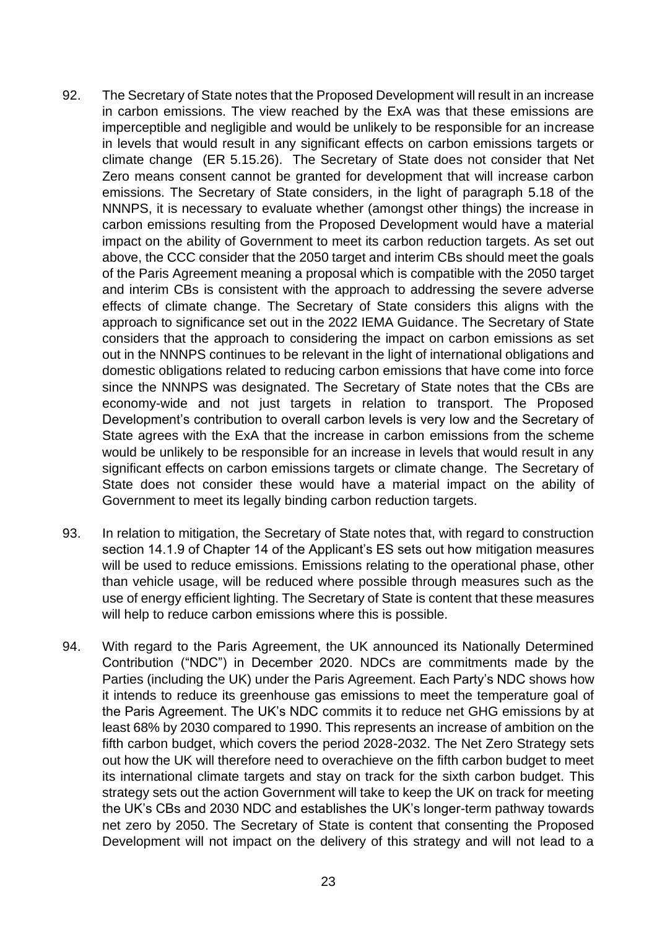- 92. The Secretary of State notes that the Proposed Development will result in an increase in carbon emissions. The view reached by the ExA was that these emissions are imperceptible and negligible and would be unlikely to be responsible for an increase in levels that would result in any significant effects on carbon emissions targets or climate change (ER 5.15.26). The Secretary of State does not consider that Net Zero means consent cannot be granted for development that will increase carbon emissions. The Secretary of State considers, in the light of paragraph 5.18 of the NNNPS, it is necessary to evaluate whether (amongst other things) the increase in carbon emissions resulting from the Proposed Development would have a material impact on the ability of Government to meet its carbon reduction targets. As set out above, the CCC consider that the 2050 target and interim CBs should meet the goals of the Paris Agreement meaning a proposal which is compatible with the 2050 target and interim CBs is consistent with the approach to addressing the severe adverse effects of climate change. The Secretary of State considers this aligns with the approach to significance set out in the 2022 IEMA Guidance. The Secretary of State considers that the approach to considering the impact on carbon emissions as set out in the NNNPS continues to be relevant in the light of international obligations and domestic obligations related to reducing carbon emissions that have come into force since the NNNPS was designated. The Secretary of State notes that the CBs are economy-wide and not just targets in relation to transport. The Proposed Development's contribution to overall carbon levels is very low and the Secretary of State agrees with the ExA that the increase in carbon emissions from the scheme would be unlikely to be responsible for an increase in levels that would result in any significant effects on carbon emissions targets or climate change. The Secretary of State does not consider these would have a material impact on the ability of Government to meet its legally binding carbon reduction targets.
- 93. In relation to mitigation, the Secretary of State notes that, with regard to construction section 14.1.9 of Chapter 14 of the Applicant's ES sets out how mitigation measures will be used to reduce emissions. Emissions relating to the operational phase, other than vehicle usage, will be reduced where possible through measures such as the use of energy efficient lighting. The Secretary of State is content that these measures will help to reduce carbon emissions where this is possible.
- 94. With regard to the Paris Agreement, the UK announced its Nationally Determined Contribution ("NDC") in December 2020. NDCs are commitments made by the Parties (including the UK) under the Paris Agreement. Each Party's NDC shows how it intends to reduce its greenhouse gas emissions to meet the temperature goal of the Paris Agreement. The UK's NDC commits it to reduce net GHG emissions by at least 68% by 2030 compared to 1990. This represents an increase of ambition on the fifth carbon budget, which covers the period 2028-2032. The Net Zero Strategy sets out how the UK will therefore need to overachieve on the fifth carbon budget to meet its international climate targets and stay on track for the sixth carbon budget. This strategy sets out the action Government will take to keep the UK on track for meeting the UK's CBs and 2030 NDC and establishes the UK's longer-term pathway towards net zero by 2050. The Secretary of State is content that consenting the Proposed Development will not impact on the delivery of this strategy and will not lead to a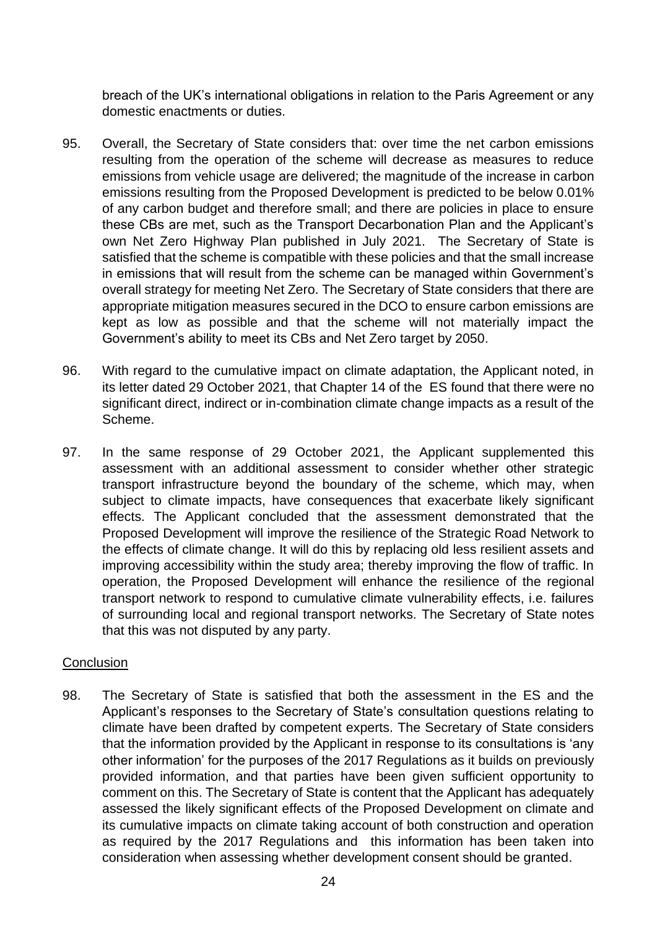breach of the UK's international obligations in relation to the Paris Agreement or any domestic enactments or duties.

- 95. Overall, the Secretary of State considers that: over time the net carbon emissions resulting from the operation of the scheme will decrease as measures to reduce emissions from vehicle usage are delivered; the magnitude of the increase in carbon emissions resulting from the Proposed Development is predicted to be below 0.01% of any carbon budget and therefore small; and there are policies in place to ensure these CBs are met, such as the Transport Decarbonation Plan and the Applicant's own Net Zero Highway Plan published in July 2021. The Secretary of State is satisfied that the scheme is compatible with these policies and that the small increase in emissions that will result from the scheme can be managed within Government's overall strategy for meeting Net Zero. The Secretary of State considers that there are appropriate mitigation measures secured in the DCO to ensure carbon emissions are kept as low as possible and that the scheme will not materially impact the Government's ability to meet its CBs and Net Zero target by 2050.
- 96. With regard to the cumulative impact on climate adaptation, the Applicant noted, in its letter dated 29 October 2021, that Chapter 14 of the ES found that there were no significant direct, indirect or in-combination climate change impacts as a result of the Scheme.
- 97. In the same response of 29 October 2021, the Applicant supplemented this assessment with an additional assessment to consider whether other strategic transport infrastructure beyond the boundary of the scheme, which may, when subject to climate impacts, have consequences that exacerbate likely significant effects. The Applicant concluded that the assessment demonstrated that the Proposed Development will improve the resilience of the Strategic Road Network to the effects of climate change. It will do this by replacing old less resilient assets and improving accessibility within the study area; thereby improving the flow of traffic. In operation, the Proposed Development will enhance the resilience of the regional transport network to respond to cumulative climate vulnerability effects, i.e. failures of surrounding local and regional transport networks. The Secretary of State notes that this was not disputed by any party.

## **Conclusion**

98. The Secretary of State is satisfied that both the assessment in the ES and the Applicant's responses to the Secretary of State's consultation questions relating to climate have been drafted by competent experts. The Secretary of State considers that the information provided by the Applicant in response to its consultations is 'any other information' for the purposes of the 2017 Regulations as it builds on previously provided information, and that parties have been given sufficient opportunity to comment on this. The Secretary of State is content that the Applicant has adequately assessed the likely significant effects of the Proposed Development on climate and its cumulative impacts on climate taking account of both construction and operation as required by the 2017 Regulations and this information has been taken into consideration when assessing whether development consent should be granted.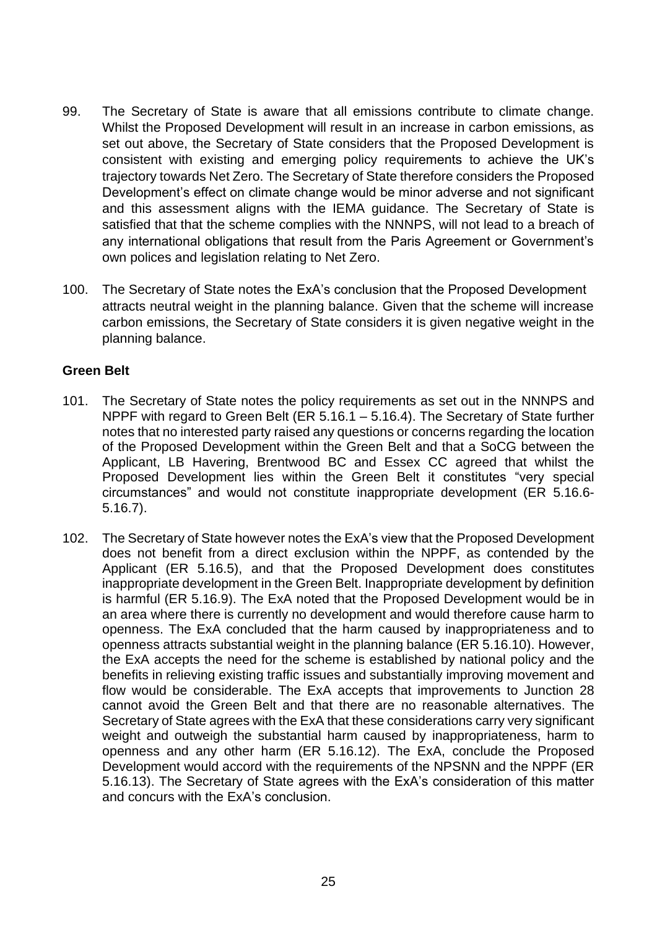- 99. The Secretary of State is aware that all emissions contribute to climate change. Whilst the Proposed Development will result in an increase in carbon emissions, as set out above, the Secretary of State considers that the Proposed Development is consistent with existing and emerging policy requirements to achieve the UK's trajectory towards Net Zero. The Secretary of State therefore considers the Proposed Development's effect on climate change would be minor adverse and not significant and this assessment aligns with the IEMA guidance. The Secretary of State is satisfied that that the scheme complies with the NNNPS, will not lead to a breach of any international obligations that result from the Paris Agreement or Government's own polices and legislation relating to Net Zero.
- 100. The Secretary of State notes the ExA's conclusion that the Proposed Development attracts neutral weight in the planning balance. Given that the scheme will increase carbon emissions, the Secretary of State considers it is given negative weight in the planning balance.

## **Green Belt**

- 101. The Secretary of State notes the policy requirements as set out in the NNNPS and NPPF with regard to Green Belt (ER 5.16.1 – 5.16.4). The Secretary of State further notes that no interested party raised any questions or concerns regarding the location of the Proposed Development within the Green Belt and that a SoCG between the Applicant, LB Havering, Brentwood BC and Essex CC agreed that whilst the Proposed Development lies within the Green Belt it constitutes "very special circumstances" and would not constitute inappropriate development (ER 5.16.6- 5.16.7).
- 102. The Secretary of State however notes the ExA's view that the Proposed Development does not benefit from a direct exclusion within the NPPF, as contended by the Applicant (ER 5.16.5), and that the Proposed Development does constitutes inappropriate development in the Green Belt. Inappropriate development by definition is harmful (ER 5.16.9). The ExA noted that the Proposed Development would be in an area where there is currently no development and would therefore cause harm to openness. The ExA concluded that the harm caused by inappropriateness and to openness attracts substantial weight in the planning balance (ER 5.16.10). However, the ExA accepts the need for the scheme is established by national policy and the benefits in relieving existing traffic issues and substantially improving movement and flow would be considerable. The ExA accepts that improvements to Junction 28 cannot avoid the Green Belt and that there are no reasonable alternatives. The Secretary of State agrees with the ExA that these considerations carry very significant weight and outweigh the substantial harm caused by inappropriateness, harm to openness and any other harm (ER 5.16.12). The ExA, conclude the Proposed Development would accord with the requirements of the NPSNN and the NPPF (ER 5.16.13). The Secretary of State agrees with the ExA's consideration of this matter and concurs with the ExA's conclusion.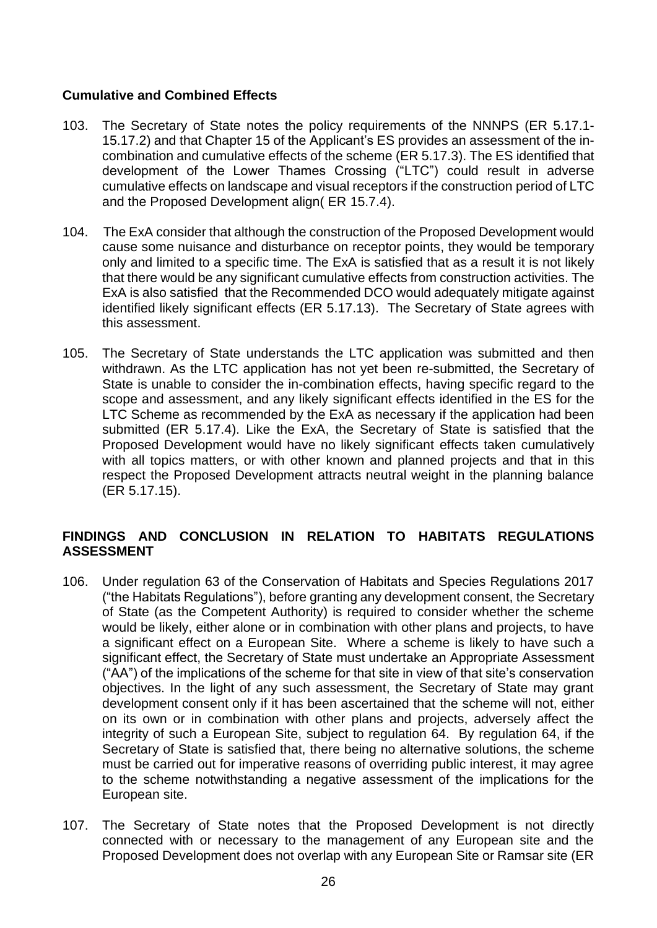## **Cumulative and Combined Effects**

- 103. The Secretary of State notes the policy requirements of the NNNPS (ER 5.17.1- 15.17.2) and that Chapter 15 of the Applicant's ES provides an assessment of the incombination and cumulative effects of the scheme (ER 5.17.3). The ES identified that development of the Lower Thames Crossing ("LTC") could result in adverse cumulative effects on landscape and visual receptors if the construction period of LTC and the Proposed Development align( ER 15.7.4).
- 104. The ExA consider that although the construction of the Proposed Development would cause some nuisance and disturbance on receptor points, they would be temporary only and limited to a specific time. The ExA is satisfied that as a result it is not likely that there would be any significant cumulative effects from construction activities. The ExA is also satisfied that the Recommended DCO would adequately mitigate against identified likely significant effects (ER 5.17.13). The Secretary of State agrees with this assessment.
- 105. The Secretary of State understands the LTC application was submitted and then withdrawn. As the LTC application has not yet been re-submitted, the Secretary of State is unable to consider the in-combination effects, having specific regard to the scope and assessment, and any likely significant effects identified in the ES for the LTC Scheme as recommended by the ExA as necessary if the application had been submitted (ER 5.17.4). Like the ExA, the Secretary of State is satisfied that the Proposed Development would have no likely significant effects taken cumulatively with all topics matters, or with other known and planned projects and that in this respect the Proposed Development attracts neutral weight in the planning balance (ER 5.17.15).

# **FINDINGS AND CONCLUSION IN RELATION TO HABITATS REGULATIONS ASSESSMENT**

- 106. Under regulation 63 of the Conservation of Habitats and Species Regulations 2017 ("the Habitats Regulations"), before granting any development consent, the Secretary of State (as the Competent Authority) is required to consider whether the scheme would be likely, either alone or in combination with other plans and projects, to have a significant effect on a European Site. Where a scheme is likely to have such a significant effect, the Secretary of State must undertake an Appropriate Assessment ("AA") of the implications of the scheme for that site in view of that site's conservation objectives. In the light of any such assessment, the Secretary of State may grant development consent only if it has been ascertained that the scheme will not, either on its own or in combination with other plans and projects, adversely affect the integrity of such a European Site, subject to regulation 64. By regulation 64, if the Secretary of State is satisfied that, there being no alternative solutions, the scheme must be carried out for imperative reasons of overriding public interest, it may agree to the scheme notwithstanding a negative assessment of the implications for the European site.
- 107. The Secretary of State notes that the Proposed Development is not directly connected with or necessary to the management of any European site and the Proposed Development does not overlap with any European Site or Ramsar site (ER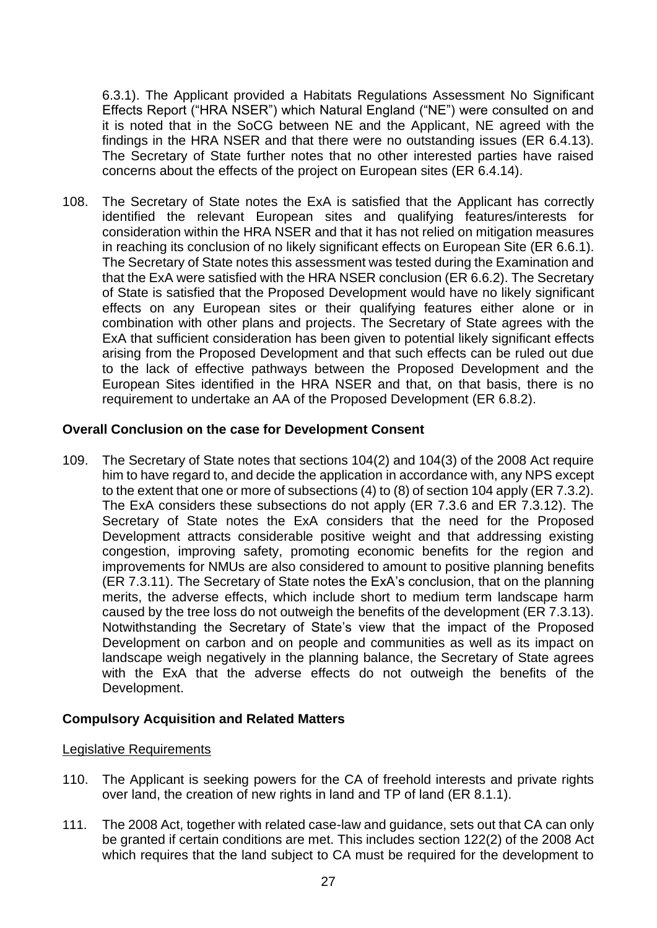6.3.1). The Applicant provided a Habitats Regulations Assessment No Significant Effects Report ("HRA NSER") which Natural England ("NE") were consulted on and it is noted that in the SoCG between NE and the Applicant, NE agreed with the findings in the HRA NSER and that there were no outstanding issues (ER 6.4.13). The Secretary of State further notes that no other interested parties have raised concerns about the effects of the project on European sites (ER 6.4.14).

108. The Secretary of State notes the ExA is satisfied that the Applicant has correctly identified the relevant European sites and qualifying features/interests for consideration within the HRA NSER and that it has not relied on mitigation measures in reaching its conclusion of no likely significant effects on European Site (ER 6.6.1). The Secretary of State notes this assessment was tested during the Examination and that the ExA were satisfied with the HRA NSER conclusion (ER 6.6.2). The Secretary of State is satisfied that the Proposed Development would have no likely significant effects on any European sites or their qualifying features either alone or in combination with other plans and projects. The Secretary of State agrees with the ExA that sufficient consideration has been given to potential likely significant effects arising from the Proposed Development and that such effects can be ruled out due to the lack of effective pathways between the Proposed Development and the European Sites identified in the HRA NSER and that, on that basis, there is no requirement to undertake an AA of the Proposed Development (ER 6.8.2).

## **Overall Conclusion on the case for Development Consent**

109. The Secretary of State notes that sections 104(2) and 104(3) of the 2008 Act require him to have regard to, and decide the application in accordance with, any NPS except to the extent that one or more of subsections (4) to (8) of section 104 apply (ER 7.3.2). The ExA considers these subsections do not apply (ER 7.3.6 and ER 7.3.12). The Secretary of State notes the ExA considers that the need for the Proposed Development attracts considerable positive weight and that addressing existing congestion, improving safety, promoting economic benefits for the region and improvements for NMUs are also considered to amount to positive planning benefits (ER 7.3.11). The Secretary of State notes the ExA's conclusion, that on the planning merits, the adverse effects, which include short to medium term landscape harm caused by the tree loss do not outweigh the benefits of the development (ER 7.3.13). Notwithstanding the Secretary of State's view that the impact of the Proposed Development on carbon and on people and communities as well as its impact on landscape weigh negatively in the planning balance, the Secretary of State agrees with the ExA that the adverse effects do not outweigh the benefits of the Development.

## **Compulsory Acquisition and Related Matters**

## Legislative Requirements

- 110. The Applicant is seeking powers for the CA of freehold interests and private rights over land, the creation of new rights in land and TP of land (ER 8.1.1).
- 111. The 2008 Act, together with related case-law and guidance, sets out that CA can only be granted if certain conditions are met. This includes section 122(2) of the 2008 Act which requires that the land subject to CA must be required for the development to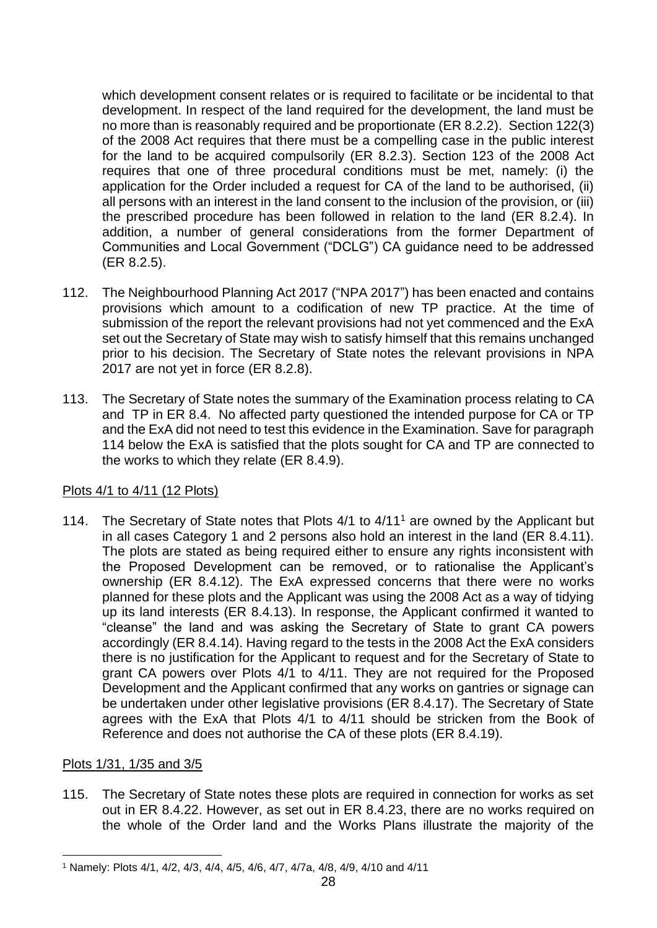which development consent relates or is required to facilitate or be incidental to that development. In respect of the land required for the development, the land must be no more than is reasonably required and be proportionate (ER 8.2.2). Section 122(3) of the 2008 Act requires that there must be a compelling case in the public interest for the land to be acquired compulsorily (ER 8.2.3). Section 123 of the 2008 Act requires that one of three procedural conditions must be met, namely: (i) the application for the Order included a request for CA of the land to be authorised, (ii) all persons with an interest in the land consent to the inclusion of the provision, or (iii) the prescribed procedure has been followed in relation to the land (ER 8.2.4). In addition, a number of general considerations from the former Department of Communities and Local Government ("DCLG") CA guidance need to be addressed (ER 8.2.5).

- 112. The Neighbourhood Planning Act 2017 ("NPA 2017") has been enacted and contains provisions which amount to a codification of new TP practice. At the time of submission of the report the relevant provisions had not yet commenced and the ExA set out the Secretary of State may wish to satisfy himself that this remains unchanged prior to his decision. The Secretary of State notes the relevant provisions in NPA 2017 are not yet in force (ER 8.2.8).
- 113. The Secretary of State notes the summary of the Examination process relating to CA and TP in ER 8.4. No affected party questioned the intended purpose for CA or TP and the ExA did not need to test this evidence in the Examination. Save for paragraph 114 below the ExA is satisfied that the plots sought for CA and TP are connected to the works to which they relate (ER 8.4.9).

#### Plots 4/1 to 4/11 (12 Plots)

114. The Secretary of State notes that Plots  $4/1$  to  $4/11<sup>1</sup>$  are owned by the Applicant but in all cases Category 1 and 2 persons also hold an interest in the land (ER 8.4.11). The plots are stated as being required either to ensure any rights inconsistent with the Proposed Development can be removed, or to rationalise the Applicant's ownership (ER 8.4.12). The ExA expressed concerns that there were no works planned for these plots and the Applicant was using the 2008 Act as a way of tidying up its land interests (ER 8.4.13). In response, the Applicant confirmed it wanted to "cleanse" the land and was asking the Secretary of State to grant CA powers accordingly (ER 8.4.14). Having regard to the tests in the 2008 Act the ExA considers there is no justification for the Applicant to request and for the Secretary of State to grant CA powers over Plots 4/1 to 4/11. They are not required for the Proposed Development and the Applicant confirmed that any works on gantries or signage can be undertaken under other legislative provisions (ER 8.4.17). The Secretary of State agrees with the ExA that Plots 4/1 to 4/11 should be stricken from the Book of Reference and does not authorise the CA of these plots (ER 8.4.19).

#### Plots 1/31, 1/35 and 3/5

115. The Secretary of State notes these plots are required in connection for works as set out in ER 8.4.22. However, as set out in ER 8.4.23, there are no works required on the whole of the Order land and the Works Plans illustrate the majority of the

<sup>1</sup> Namely: Plots 4/1, 4/2, 4/3, 4/4, 4/5, 4/6, 4/7, 4/7a, 4/8, 4/9, 4/10 and 4/11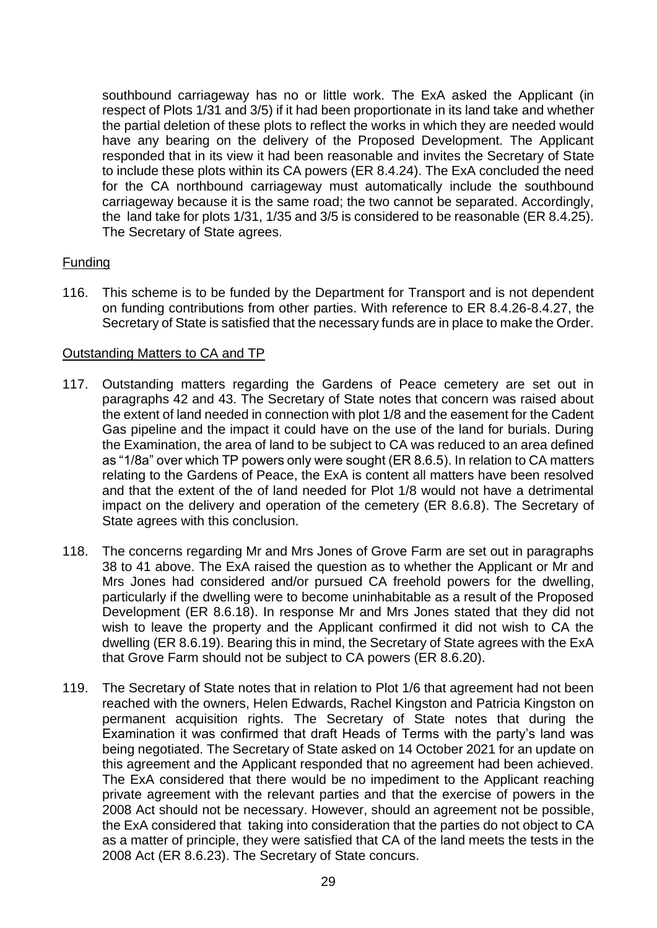southbound carriageway has no or little work. The ExA asked the Applicant (in respect of Plots 1/31 and 3/5) if it had been proportionate in its land take and whether the partial deletion of these plots to reflect the works in which they are needed would have any bearing on the delivery of the Proposed Development. The Applicant responded that in its view it had been reasonable and invites the Secretary of State to include these plots within its CA powers (ER 8.4.24). The ExA concluded the need for the CA northbound carriageway must automatically include the southbound carriageway because it is the same road; the two cannot be separated. Accordingly, the land take for plots 1/31, 1/35 and 3/5 is considered to be reasonable (ER 8.4.25). The Secretary of State agrees.

## Funding

116. This scheme is to be funded by the Department for Transport and is not dependent on funding contributions from other parties. With reference to ER 8.4.26-8.4.27, the Secretary of State is satisfied that the necessary funds are in place to make the Order.

## Outstanding Matters to CA and TP

- 117. Outstanding matters regarding the Gardens of Peace cemetery are set out in paragraphs 42 and 43. The Secretary of State notes that concern was raised about the extent of land needed in connection with plot 1/8 and the easement for the Cadent Gas pipeline and the impact it could have on the use of the land for burials. During the Examination, the area of land to be subject to CA was reduced to an area defined as "1/8a" over which TP powers only were sought (ER 8.6.5). In relation to CA matters relating to the Gardens of Peace, the ExA is content all matters have been resolved and that the extent of the of land needed for Plot 1/8 would not have a detrimental impact on the delivery and operation of the cemetery (ER 8.6.8). The Secretary of State agrees with this conclusion.
- 118. The concerns regarding Mr and Mrs Jones of Grove Farm are set out in paragraphs 38 to 41 above. The ExA raised the question as to whether the Applicant or Mr and Mrs Jones had considered and/or pursued CA freehold powers for the dwelling, particularly if the dwelling were to become uninhabitable as a result of the Proposed Development (ER 8.6.18). In response Mr and Mrs Jones stated that they did not wish to leave the property and the Applicant confirmed it did not wish to CA the dwelling (ER 8.6.19). Bearing this in mind, the Secretary of State agrees with the ExA that Grove Farm should not be subject to CA powers (ER 8.6.20).
- 119. The Secretary of State notes that in relation to Plot 1/6 that agreement had not been reached with the owners, Helen Edwards, Rachel Kingston and Patricia Kingston on permanent acquisition rights. The Secretary of State notes that during the Examination it was confirmed that draft Heads of Terms with the party's land was being negotiated. The Secretary of State asked on 14 October 2021 for an update on this agreement and the Applicant responded that no agreement had been achieved. The ExA considered that there would be no impediment to the Applicant reaching private agreement with the relevant parties and that the exercise of powers in the 2008 Act should not be necessary. However, should an agreement not be possible, the ExA considered that taking into consideration that the parties do not object to CA as a matter of principle, they were satisfied that CA of the land meets the tests in the 2008 Act (ER 8.6.23). The Secretary of State concurs.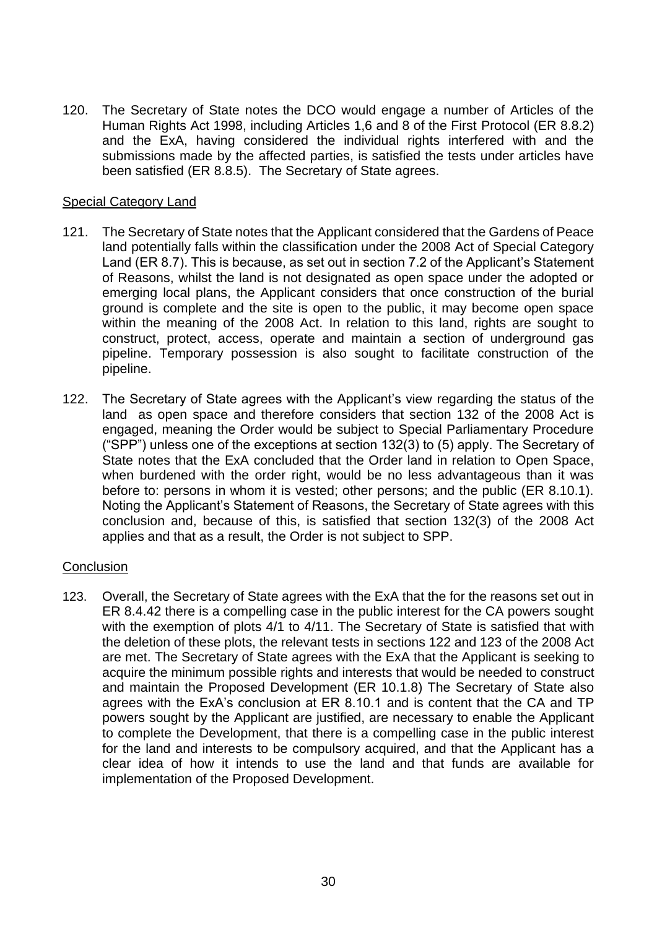120. The Secretary of State notes the DCO would engage a number of Articles of the Human Rights Act 1998, including Articles 1,6 and 8 of the First Protocol (ER 8.8.2) and the ExA, having considered the individual rights interfered with and the submissions made by the affected parties, is satisfied the tests under articles have been satisfied (ER 8.8.5). The Secretary of State agrees.

### Special Category Land

- 121. The Secretary of State notes that the Applicant considered that the Gardens of Peace land potentially falls within the classification under the 2008 Act of Special Category Land (ER 8.7). This is because, as set out in section 7.2 of the Applicant's Statement of Reasons, whilst the land is not designated as open space under the adopted or emerging local plans, the Applicant considers that once construction of the burial ground is complete and the site is open to the public, it may become open space within the meaning of the 2008 Act. In relation to this land, rights are sought to construct, protect, access, operate and maintain a section of underground gas pipeline. Temporary possession is also sought to facilitate construction of the pipeline.
- 122. The Secretary of State agrees with the Applicant's view regarding the status of the land as open space and therefore considers that section 132 of the 2008 Act is engaged, meaning the Order would be subject to Special Parliamentary Procedure ("SPP") unless one of the exceptions at section 132(3) to (5) apply. The Secretary of State notes that the ExA concluded that the Order land in relation to Open Space, when burdened with the order right, would be no less advantageous than it was before to: persons in whom it is vested; other persons; and the public (ER 8.10.1). Noting the Applicant's Statement of Reasons, the Secretary of State agrees with this conclusion and, because of this, is satisfied that section 132(3) of the 2008 Act applies and that as a result, the Order is not subject to SPP.

#### **Conclusion**

123. Overall, the Secretary of State agrees with the ExA that the for the reasons set out in ER 8.4.42 there is a compelling case in the public interest for the CA powers sought with the exemption of plots 4/1 to 4/11. The Secretary of State is satisfied that with the deletion of these plots, the relevant tests in sections 122 and 123 of the 2008 Act are met. The Secretary of State agrees with the ExA that the Applicant is seeking to acquire the minimum possible rights and interests that would be needed to construct and maintain the Proposed Development (ER 10.1.8) The Secretary of State also agrees with the ExA's conclusion at ER 8.10.1 and is content that the CA and TP powers sought by the Applicant are justified, are necessary to enable the Applicant to complete the Development, that there is a compelling case in the public interest for the land and interests to be compulsory acquired, and that the Applicant has a clear idea of how it intends to use the land and that funds are available for implementation of the Proposed Development.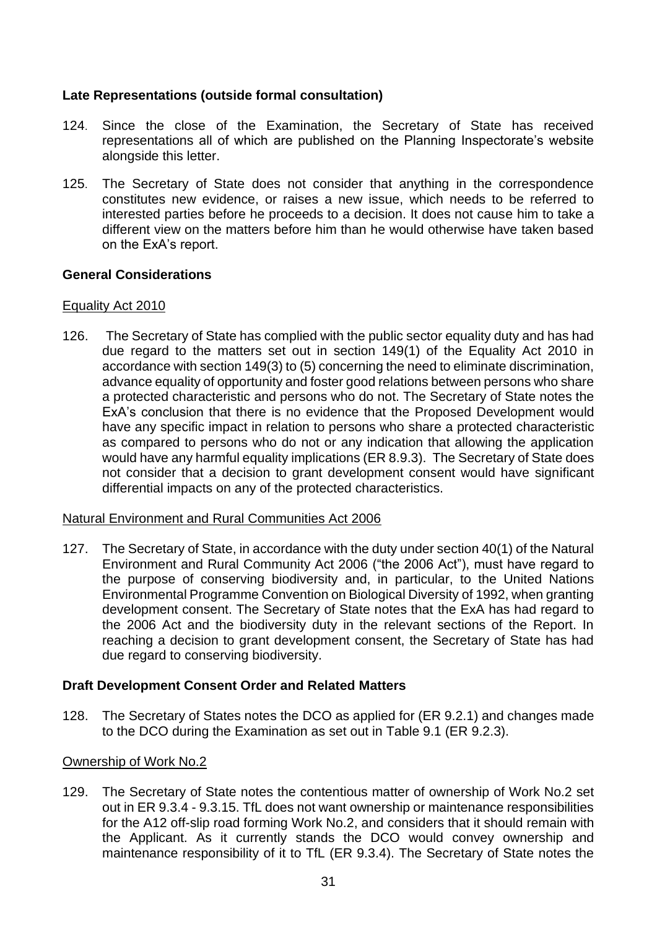## **Late Representations (outside formal consultation)**

- 124. Since the close of the Examination, the Secretary of State has received representations all of which are published on the Planning Inspectorate's website alongside this letter.
- 125. The Secretary of State does not consider that anything in the correspondence constitutes new evidence, or raises a new issue, which needs to be referred to interested parties before he proceeds to a decision. It does not cause him to take a different view on the matters before him than he would otherwise have taken based on the ExA's report.

## **General Considerations**

### Equality Act 2010

126. The Secretary of State has complied with the public sector equality duty and has had due regard to the matters set out in section 149(1) of the Equality Act 2010 in accordance with section 149(3) to (5) concerning the need to eliminate discrimination, advance equality of opportunity and foster good relations between persons who share a protected characteristic and persons who do not. The Secretary of State notes the ExA's conclusion that there is no evidence that the Proposed Development would have any specific impact in relation to persons who share a protected characteristic as compared to persons who do not or any indication that allowing the application would have any harmful equality implications (ER 8.9.3). The Secretary of State does not consider that a decision to grant development consent would have significant differential impacts on any of the protected characteristics.

#### Natural Environment and Rural Communities Act 2006

127. The Secretary of State, in accordance with the duty under section 40(1) of the Natural Environment and Rural Community Act 2006 ("the 2006 Act"), must have regard to the purpose of conserving biodiversity and, in particular, to the United Nations Environmental Programme Convention on Biological Diversity of 1992, when granting development consent. The Secretary of State notes that the ExA has had regard to the 2006 Act and the biodiversity duty in the relevant sections of the Report. In reaching a decision to grant development consent, the Secretary of State has had due regard to conserving biodiversity.

## **Draft Development Consent Order and Related Matters**

128. The Secretary of States notes the DCO as applied for (ER 9.2.1) and changes made to the DCO during the Examination as set out in Table 9.1 (ER 9.2.3).

#### Ownership of Work No.2

129. The Secretary of State notes the contentious matter of ownership of Work No.2 set out in ER 9.3.4 - 9.3.15. TfL does not want ownership or maintenance responsibilities for the A12 off-slip road forming Work No.2, and considers that it should remain with the Applicant. As it currently stands the DCO would convey ownership and maintenance responsibility of it to TfL (ER 9.3.4). The Secretary of State notes the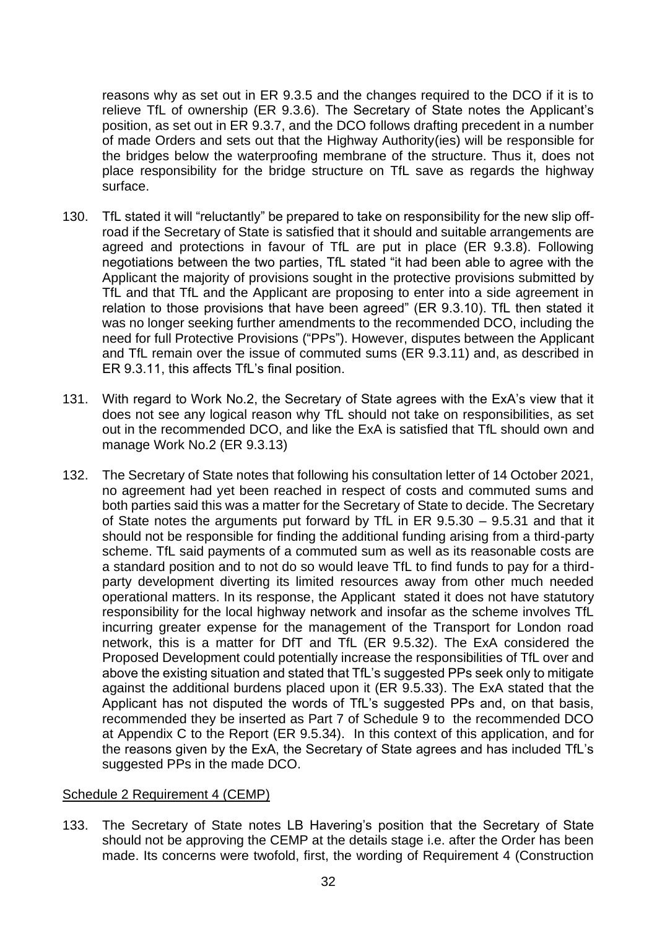reasons why as set out in ER 9.3.5 and the changes required to the DCO if it is to relieve TfL of ownership (ER 9.3.6). The Secretary of State notes the Applicant's position, as set out in ER 9.3.7, and the DCO follows drafting precedent in a number of made Orders and sets out that the Highway Authority(ies) will be responsible for the bridges below the waterproofing membrane of the structure. Thus it, does not place responsibility for the bridge structure on TfL save as regards the highway surface.

- 130. TfL stated it will "reluctantly" be prepared to take on responsibility for the new slip offroad if the Secretary of State is satisfied that it should and suitable arrangements are agreed and protections in favour of TfL are put in place (ER 9.3.8). Following negotiations between the two parties, TfL stated "it had been able to agree with the Applicant the majority of provisions sought in the protective provisions submitted by TfL and that TfL and the Applicant are proposing to enter into a side agreement in relation to those provisions that have been agreed" (ER 9.3.10). TfL then stated it was no longer seeking further amendments to the recommended DCO, including the need for full Protective Provisions ("PPs"). However, disputes between the Applicant and TfL remain over the issue of commuted sums (ER 9.3.11) and, as described in ER 9.3.11, this affects TfL's final position.
- 131. With regard to Work No.2, the Secretary of State agrees with the ExA's view that it does not see any logical reason why TfL should not take on responsibilities, as set out in the recommended DCO, and like the ExA is satisfied that TfL should own and manage Work No.2 (ER 9.3.13)
- 132. The Secretary of State notes that following his consultation letter of 14 October 2021, no agreement had yet been reached in respect of costs and commuted sums and both parties said this was a matter for the Secretary of State to decide. The Secretary of State notes the arguments put forward by TfL in ER 9.5.30 – 9.5.31 and that it should not be responsible for finding the additional funding arising from a third-party scheme. TfL said payments of a commuted sum as well as its reasonable costs are a standard position and to not do so would leave TfL to find funds to pay for a thirdparty development diverting its limited resources away from other much needed operational matters. In its response, the Applicant stated it does not have statutory responsibility for the local highway network and insofar as the scheme involves TfL incurring greater expense for the management of the Transport for London road network, this is a matter for DfT and TfL (ER 9.5.32). The ExA considered the Proposed Development could potentially increase the responsibilities of TfL over and above the existing situation and stated that TfL's suggested PPs seek only to mitigate against the additional burdens placed upon it (ER 9.5.33). The ExA stated that the Applicant has not disputed the words of TfL's suggested PPs and, on that basis, recommended they be inserted as Part 7 of Schedule 9 to the recommended DCO at Appendix C to the Report (ER 9.5.34). In this context of this application, and for the reasons given by the ExA, the Secretary of State agrees and has included TfL's suggested PPs in the made DCO.

#### Schedule 2 Requirement 4 (CEMP)

133. The Secretary of State notes LB Havering's position that the Secretary of State should not be approving the CEMP at the details stage i.e. after the Order has been made. Its concerns were twofold, first, the wording of Requirement 4 (Construction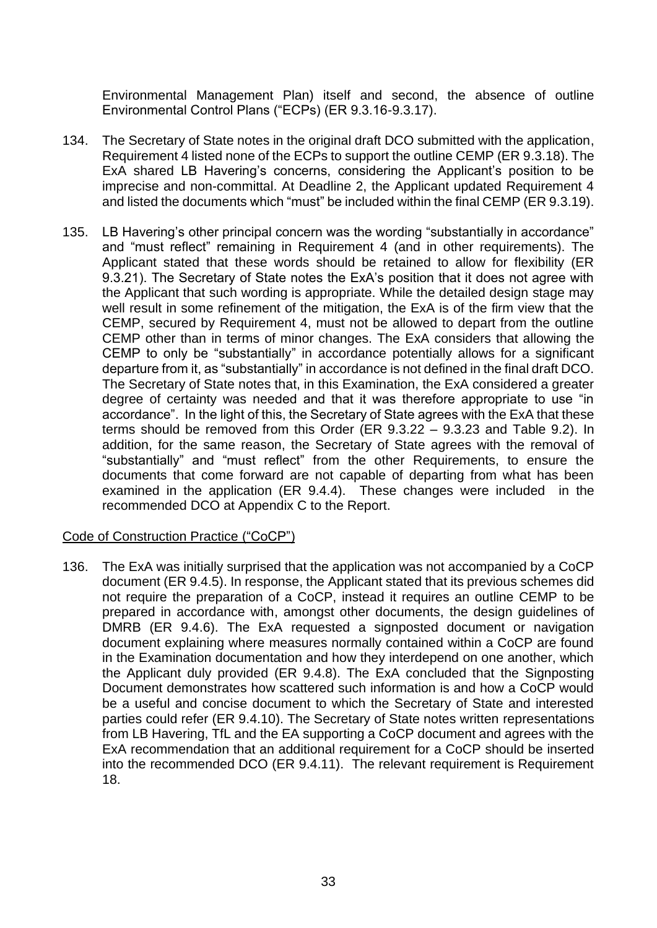Environmental Management Plan) itself and second, the absence of outline Environmental Control Plans ("ECPs) (ER 9.3.16-9.3.17).

- 134. The Secretary of State notes in the original draft DCO submitted with the application, Requirement 4 listed none of the ECPs to support the outline CEMP (ER 9.3.18). The ExA shared LB Havering's concerns, considering the Applicant's position to be imprecise and non-committal. At Deadline 2, the Applicant updated Requirement 4 and listed the documents which "must" be included within the final CEMP (ER 9.3.19).
- 135. LB Havering's other principal concern was the wording "substantially in accordance" and "must reflect" remaining in Requirement 4 (and in other requirements). The Applicant stated that these words should be retained to allow for flexibility (ER 9.3.21). The Secretary of State notes the ExA's position that it does not agree with the Applicant that such wording is appropriate. While the detailed design stage may well result in some refinement of the mitigation, the ExA is of the firm view that the CEMP, secured by Requirement 4, must not be allowed to depart from the outline CEMP other than in terms of minor changes. The ExA considers that allowing the CEMP to only be "substantially" in accordance potentially allows for a significant departure from it, as "substantially" in accordance is not defined in the final draft DCO. The Secretary of State notes that, in this Examination, the ExA considered a greater degree of certainty was needed and that it was therefore appropriate to use "in accordance". In the light of this, the Secretary of State agrees with the ExA that these terms should be removed from this Order (ER 9.3.22 – 9.3.23 and Table 9.2). In addition, for the same reason, the Secretary of State agrees with the removal of "substantially" and "must reflect" from the other Requirements, to ensure the documents that come forward are not capable of departing from what has been examined in the application (ER 9.4.4). These changes were included in the recommended DCO at Appendix C to the Report.

## Code of Construction Practice ("CoCP")

136. The ExA was initially surprised that the application was not accompanied by a CoCP document (ER 9.4.5). In response, the Applicant stated that its previous schemes did not require the preparation of a CoCP, instead it requires an outline CEMP to be prepared in accordance with, amongst other documents, the design guidelines of DMRB (ER 9.4.6). The ExA requested a signposted document or navigation document explaining where measures normally contained within a CoCP are found in the Examination documentation and how they interdepend on one another, which the Applicant duly provided (ER 9.4.8). The ExA concluded that the Signposting Document demonstrates how scattered such information is and how a CoCP would be a useful and concise document to which the Secretary of State and interested parties could refer (ER 9.4.10). The Secretary of State notes written representations from LB Havering, TfL and the EA supporting a CoCP document and agrees with the ExA recommendation that an additional requirement for a CoCP should be inserted into the recommended DCO (ER 9.4.11). The relevant requirement is Requirement 18.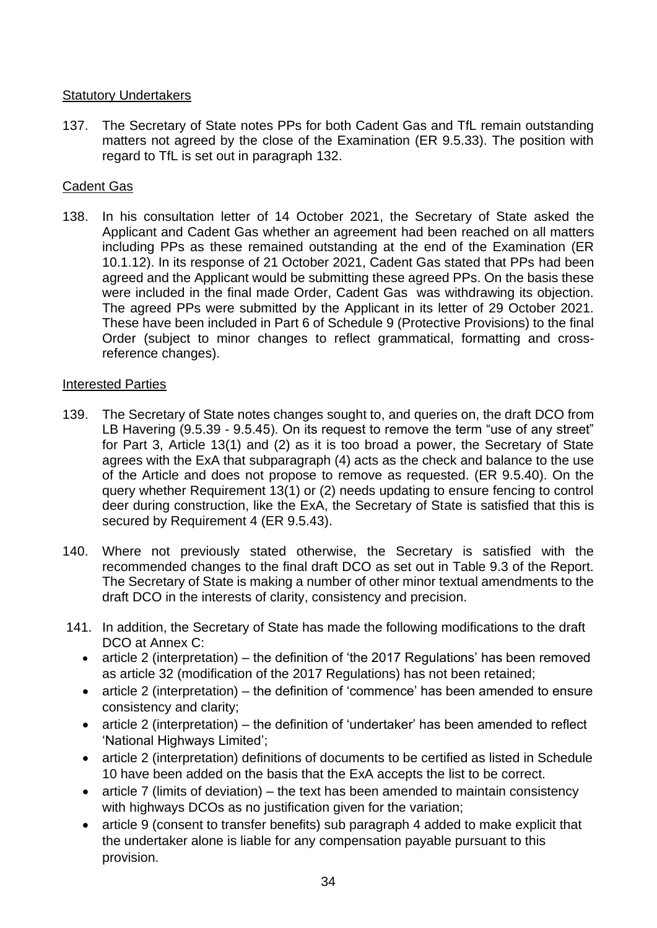# Statutory Undertakers

137. The Secretary of State notes PPs for both Cadent Gas and TfL remain outstanding matters not agreed by the close of the Examination (ER 9.5.33). The position with regard to TfL is set out in paragraph 132.

## Cadent Gas

138. In his consultation letter of 14 October 2021, the Secretary of State asked the Applicant and Cadent Gas whether an agreement had been reached on all matters including PPs as these remained outstanding at the end of the Examination (ER 10.1.12). In its response of 21 October 2021, Cadent Gas stated that PPs had been agreed and the Applicant would be submitting these agreed PPs. On the basis these were included in the final made Order, Cadent Gas was withdrawing its objection. The agreed PPs were submitted by the Applicant in its letter of 29 October 2021. These have been included in Part 6 of Schedule 9 (Protective Provisions) to the final Order (subject to minor changes to reflect grammatical, formatting and crossreference changes).

## Interested Parties

- 139. The Secretary of State notes changes sought to, and queries on, the draft DCO from LB Havering (9.5.39 - 9.5.45). On its request to remove the term "use of any street" for Part 3, Article 13(1) and (2) as it is too broad a power, the Secretary of State agrees with the ExA that subparagraph (4) acts as the check and balance to the use of the Article and does not propose to remove as requested. (ER 9.5.40). On the query whether Requirement 13(1) or (2) needs updating to ensure fencing to control deer during construction, like the ExA, the Secretary of State is satisfied that this is secured by Requirement 4 (ER 9.5.43).
- 140. Where not previously stated otherwise, the Secretary is satisfied with the recommended changes to the final draft DCO as set out in Table 9.3 of the Report. The Secretary of State is making a number of other minor textual amendments to the draft DCO in the interests of clarity, consistency and precision.
- 141. In addition, the Secretary of State has made the following modifications to the draft DCO at Annex C:
	- article 2 (interpretation) the definition of 'the 2017 Regulations' has been removed as article 32 (modification of the 2017 Regulations) has not been retained;
	- article 2 (interpretation) the definition of 'commence' has been amended to ensure consistency and clarity;
	- article 2 (interpretation) the definition of 'undertaker' has been amended to reflect 'National Highways Limited';
	- article 2 (interpretation) definitions of documents to be certified as listed in Schedule 10 have been added on the basis that the ExA accepts the list to be correct.
	- article 7 (limits of deviation) the text has been amended to maintain consistency with highways DCOs as no justification given for the variation;
	- article 9 (consent to transfer benefits) sub paragraph 4 added to make explicit that the undertaker alone is liable for any compensation payable pursuant to this provision.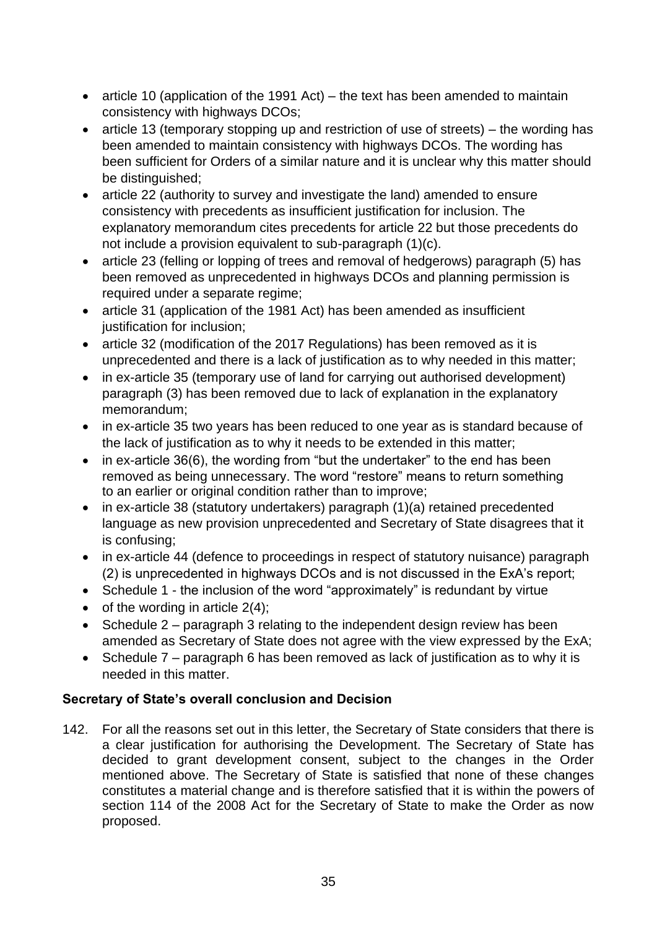- article 10 (application of the 1991 Act) the text has been amended to maintain consistency with highways DCOs;
- article 13 (temporary stopping up and restriction of use of streets) the wording has been amended to maintain consistency with highways DCOs. The wording has been sufficient for Orders of a similar nature and it is unclear why this matter should be distinguished;
- article 22 (authority to survey and investigate the land) amended to ensure consistency with precedents as insufficient justification for inclusion. The explanatory memorandum cites precedents for article 22 but those precedents do not include a provision equivalent to sub-paragraph (1)(c).
- article 23 (felling or lopping of trees and removal of hedgerows) paragraph (5) has been removed as unprecedented in highways DCOs and planning permission is required under a separate regime;
- article 31 (application of the 1981 Act) has been amended as insufficient justification for inclusion;
- article 32 (modification of the 2017 Regulations) has been removed as it is unprecedented and there is a lack of justification as to why needed in this matter;
- in ex-article 35 (temporary use of land for carrying out authorised development) paragraph (3) has been removed due to lack of explanation in the explanatory memorandum;
- in ex-article 35 two years has been reduced to one year as is standard because of the lack of justification as to why it needs to be extended in this matter;
- in ex-article 36(6), the wording from "but the undertaker" to the end has been removed as being unnecessary. The word "restore" means to return something to an earlier or original condition rather than to improve;
- in ex-article 38 (statutory undertakers) paragraph (1)(a) retained precedented language as new provision unprecedented and Secretary of State disagrees that it is confusing;
- in ex-article 44 (defence to proceedings in respect of statutory nuisance) paragraph (2) is unprecedented in highways DCOs and is not discussed in the ExA's report;
- Schedule 1 the inclusion of the word "approximately" is redundant by virtue
- of the wording in article  $2(4)$ ;
- Schedule 2 paragraph 3 relating to the independent design review has been amended as Secretary of State does not agree with the view expressed by the ExA;
- Schedule 7 paragraph 6 has been removed as lack of justification as to why it is needed in this matter.

# **Secretary of State's overall conclusion and Decision**

142. For all the reasons set out in this letter, the Secretary of State considers that there is a clear justification for authorising the Development. The Secretary of State has decided to grant development consent, subject to the changes in the Order mentioned above. The Secretary of State is satisfied that none of these changes constitutes a material change and is therefore satisfied that it is within the powers of section 114 of the 2008 Act for the Secretary of State to make the Order as now proposed.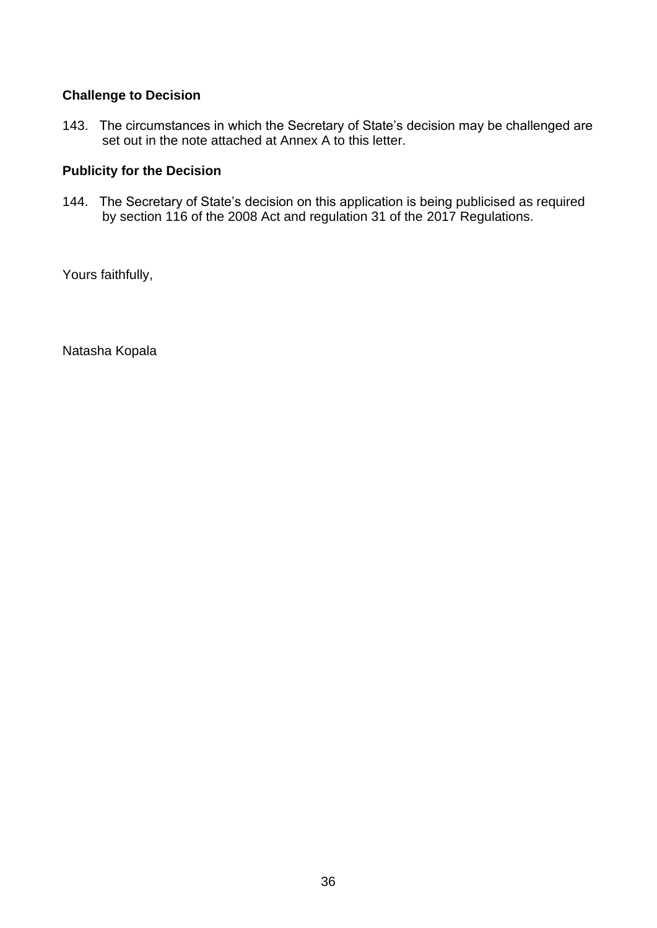# **Challenge to Decision**

143. The circumstances in which the Secretary of State's decision may be challenged are set out in the note attached at Annex A to this letter.

# **Publicity for the Decision**

144. The Secretary of State's decision on this application is being publicised as required by section 116 of the 2008 Act and regulation 31 of the 2017 Regulations.

Yours faithfully,

Natasha Kopala